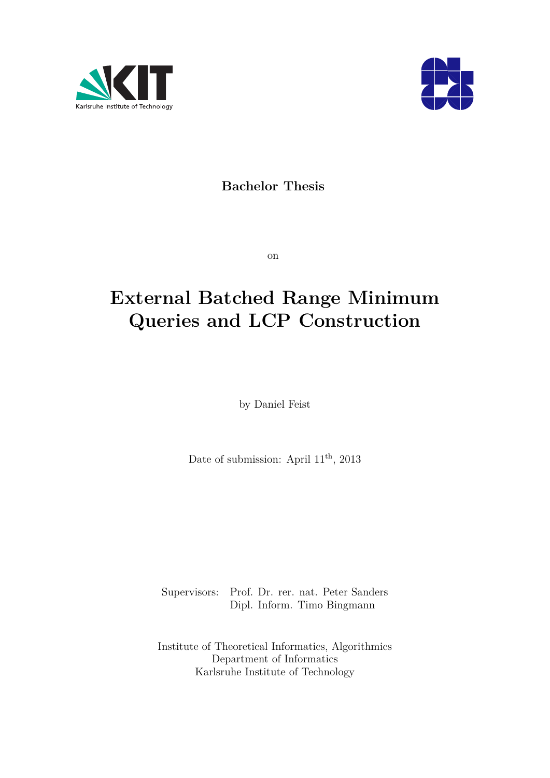



# **Bachelor Thesis**

on

# **External Batched Range Minimum Queries and LCP Construction**

by Daniel Feist

Date of submission: April  $11<sup>th</sup>$ , 2013

Supervisors: Prof. Dr. rer. nat. Peter Sanders Dipl. Inform. Timo Bingmann

Institute of Theoretical Informatics, Algorithmics Department of Informatics Karlsruhe Institute of Technology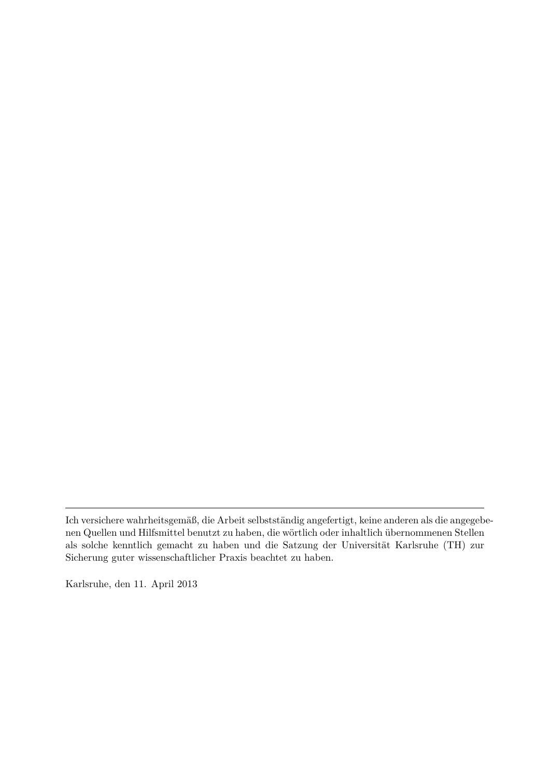Karlsruhe, den 11. April 2013

Ich versichere wahrheitsgemäß, die Arbeit selbstständig angefertigt, keine anderen als die angegebenen Quellen und Hilfsmittel benutzt zu haben, die wörtlich oder inhaltlich übernommenen Stellen als solche kenntlich gemacht zu haben und die Satzung der Universität Karlsruhe (TH) zur Sicherung guter wissenschaftlicher Praxis beachtet zu haben.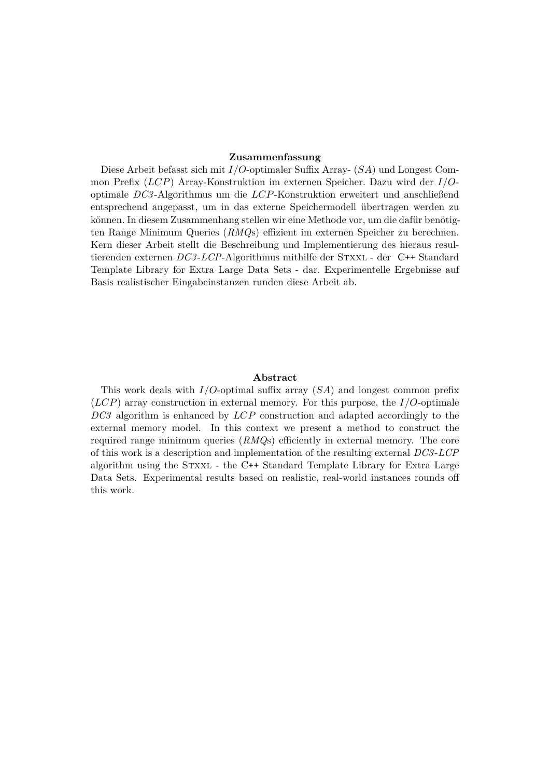#### **Zusammenfassung**

Diese Arbeit befasst sich mit *I/O*-optimaler Suffix Array- (*SA*) und Longest Common Prefix (*LCP*) Array-Konstruktion im externen Speicher. Dazu wird der *I/O*optimale *DC3* -Algorithmus um die *LCP*-Konstruktion erweitert und anschließend entsprechend angepasst, um in das externe Speichermodell übertragen werden zu können. In diesem Zusammenhang stellen wir eine Methode vor, um die dafür benötigten Range Minimum Queries (*RMQ*s) effizient im externen Speicher zu berechnen. Kern dieser Arbeit stellt die Beschreibung und Implementierung des hieraus resultierenden externen *DC3-LCP*-Algorithmus mithilfe der STXXL - der C++ Standard Template Library for Extra Large Data Sets - dar. Experimentelle Ergebnisse auf Basis realistischer Eingabeinstanzen runden diese Arbeit ab.

#### **Abstract**

This work deals with *I/O*-optimal suffix array (*SA*) and longest common prefix (*LCP*) array construction in external memory. For this purpose, the *I/O*-optimale *DC3* algorithm is enhanced by *LCP* construction and adapted accordingly to the external memory model. In this context we present a method to construct the required range minimum queries (*RMQ*s) efficiently in external memory. The core of this work is a description and implementation of the resulting external *DC3* -*LCP* algorithm using the Stxxl - the C++ Standard Template Library for Extra Large Data Sets. Experimental results based on realistic, real-world instances rounds off this work.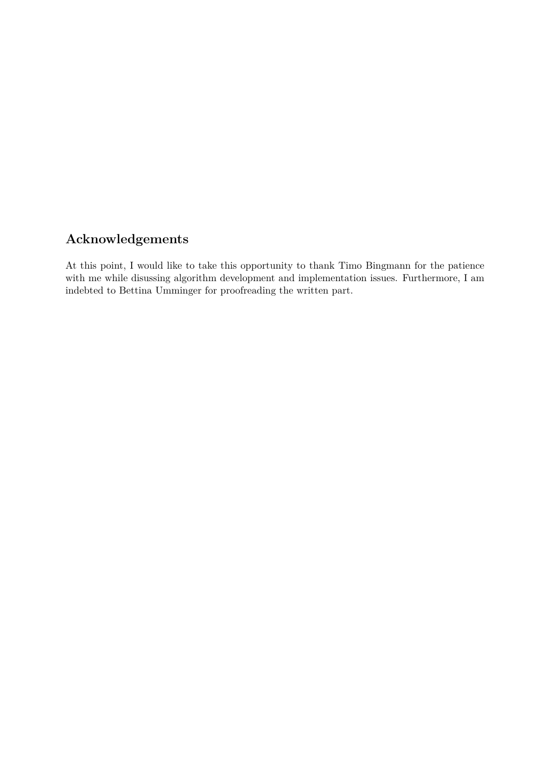# **Acknowledgements**

At this point, I would like to take this opportunity to thank Timo Bingmann for the patience with me while disussing algorithm development and implementation issues. Furthermore, I am indebted to Bettina Umminger for proofreading the written part.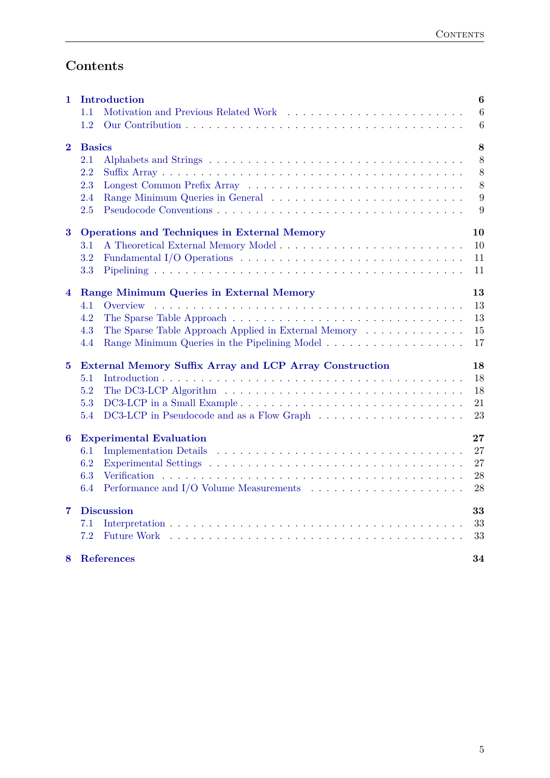# **Contents**

| 1        | Introduction<br>1.1                                                                                                | $\bf{6}$<br>6 |
|----------|--------------------------------------------------------------------------------------------------------------------|---------------|
|          | 1.2                                                                                                                | 6             |
| $\bf{2}$ | <b>Basics</b>                                                                                                      | 8             |
|          | 2.1                                                                                                                | 8             |
|          | 2.2                                                                                                                | 8             |
|          | 2.3                                                                                                                | 8             |
|          | 2.4                                                                                                                | 9             |
|          | 2.5                                                                                                                | 9             |
| $\bf{3}$ | <b>Operations and Techniques in External Memory</b>                                                                | 10            |
|          | $3.1\,$                                                                                                            | 10            |
|          | 3.2                                                                                                                | 11            |
|          | 3.3                                                                                                                | 11            |
| 4        | Range Minimum Queries in External Memory                                                                           | 13            |
|          | 4.1<br>Overview                                                                                                    | 13            |
|          | 4.2                                                                                                                | 13            |
|          | The Sparse Table Approach Applied in External Memory<br>4.3                                                        | 15            |
|          | 4.4                                                                                                                | 17            |
| $\bf{5}$ | External Memory Suffix Array and LCP Array Construction                                                            | 18            |
|          | 5.1                                                                                                                | 18            |
|          | 5.2<br>The DC3-LCP Algorithm $\ldots \ldots \ldots \ldots \ldots \ldots \ldots \ldots \ldots \ldots \ldots \ldots$ | 18            |
|          | 5.3<br>DC3-LCP in a Small Example                                                                                  | 21            |
|          | 5.4                                                                                                                | 23            |
| 6        | <b>Experimental Evaluation</b>                                                                                     | $\bf{27}$     |
|          | 6.1                                                                                                                | 27            |
|          | 6.2                                                                                                                | 27            |
|          | 6.3                                                                                                                | 28            |
|          | 6.4                                                                                                                | 28            |
| 7        | <b>Discussion</b>                                                                                                  | 33            |
|          | 7.1                                                                                                                | 33            |
|          | 7.2                                                                                                                | 33            |
| 8        | <b>References</b>                                                                                                  | 34            |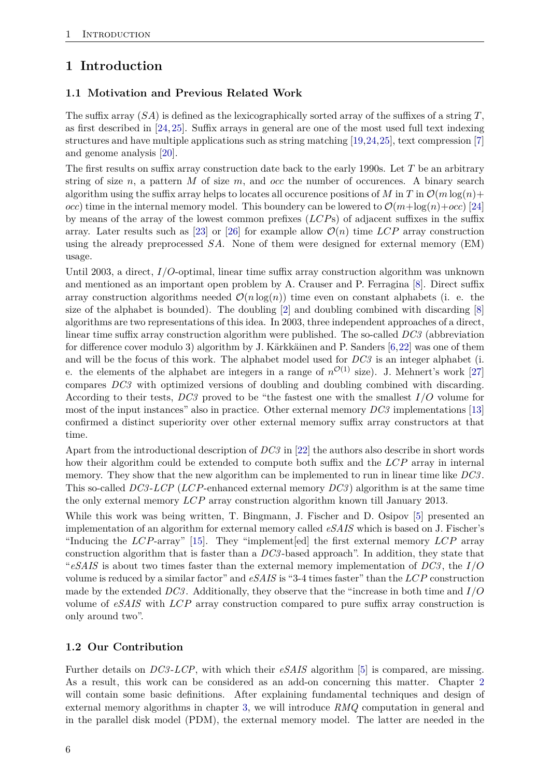# <span id="page-5-0"></span>**1 Introduction**

### <span id="page-5-1"></span>**1.1 Motivation and Previous Related Work**

The suffix array (*SA*) is defined as the lexicographically sorted array of the suffixes of a string *T*, as first described in [\[24,](#page-34-0) [25\]](#page-34-1). Suffix arrays in general are one of the most used full text indexing structures and have multiple applications such as string matching [\[19,](#page-33-1)[24,](#page-34-0)[25\]](#page-34-1), text compression [\[7\]](#page-33-2) and genome analysis [\[20\]](#page-33-3).

The first results on suffix array construction date back to the early 1990s. Let *T* be an arbitrary string of size *n*, a pattern *M* of size *m*, and *occ* the number of occurences. A binary search algorithm using the suffix array helps to locates all occurence positions of *M* in *T* in  $\mathcal{O}(m \log(n))$ *occ*) time in the internal memory model. This boundery can be lowered to  $\mathcal{O}(m + \log(n) + \text{occ})$  [\[24\]](#page-34-0) by means of the array of the lowest common prefixes (*LCP*s) of adjacent suffixes in the suffix array. Later results such as [\[23\]](#page-34-2) or [\[26\]](#page-34-3) for example allow  $\mathcal{O}(n)$  time *LCP* array construction using the already preprocessed *SA*. None of them were designed for external memory (EM) usage.

Until 2003, a direct, *I/O*-optimal, linear time suffix array construction algorithm was unknown and mentioned as an important open problem by A. Crauser and P. Ferragina [\[8\]](#page-33-4). Direct suffix array construction algorithms needed  $\mathcal{O}(n \log(n))$  time even on constant alphabets (i. e. the size of the alphabet is bounded). The doubling  $[2]$  and doubling combined with discarding  $[8]$ algorithms are two representations of this idea. In 2003, three independent approaches of a direct, linear time suffix array construction algorithm were published. The so-called *DC3* (abbreviation for difference cover modulo 3) algorithm by J. Kärkkäinen and P. Sanders [\[6,](#page-33-6)[22\]](#page-34-4) was one of them and will be the focus of this work. The alphabet model used for *DC3* is an integer alphabet (i. e. the elements of the alphabet are integers in a range of  $n^{\mathcal{O}(1)}$  size). J. Mehnert's work [\[27\]](#page-34-5) compares *DC3* with optimized versions of doubling and doubling combined with discarding. According to their tests, *DC3* proved to be "the fastest one with the smallest *I/O* volume for most of the input instances" also in practice. Other external memory *DC3* implementations [\[13\]](#page-33-7) confirmed a distinct superiority over other external memory suffix array constructors at that time.

Apart from the introductional description of *DC3* in [\[22\]](#page-34-4) the authors also describe in short words how their algorithm could be extended to compute both suffix and the *LCP* array in internal memory. They show that the new algorithm can be implemented to run in linear time like *DC3* . This so-called *DC3* -*LCP* (*LCP*-enhanced external memory *DC3* ) algorithm is at the same time the only external memory *LCP* array construction algorithm known till January 2013.

While this work was being written, T. Bingmann, J. Fischer and D. Osipov [\[5\]](#page-33-8) presented an implementation of an algorithm for external memory called *eSAIS* which is based on J. Fischer's "Inducing the *LCP*-array" [\[15\]](#page-33-9). They "implement[ed] the first external memory *LCP* array construction algorithm that is faster than a *DC3* -based approach". In addition, they state that "*eSAIS* is about two times faster than the external memory implementation of *DC3* , the *I/O* volume is reduced by a similar factor" and *eSAIS* is "3-4 times faster" than the *LCP* construction made by the extended *DC3* . Additionally, they observe that the "increase in both time and *I/O* volume of *eSAIS* with *LCP* array construction compared to pure suffix array construction is only around two".

#### <span id="page-5-2"></span>**1.2 Our Contribution**

Further details on *DC3* -*LCP*, with which their *eSAIS* algorithm [\[5\]](#page-33-8) is compared, are missing. As a result, this work can be considered as an add-on concerning this matter. Chapter [2](#page-7-0) will contain some basic definitions. After explaining fundamental techniques and design of external memory algorithms in chapter [3,](#page-9-0) we will introduce *RMQ* computation in general and in the parallel disk model (PDM), the external memory model. The latter are needed in the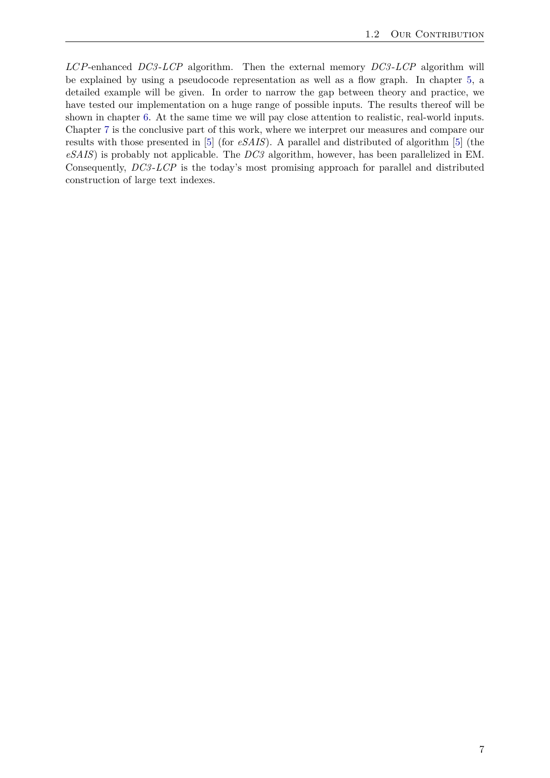*LCP*-enhanced *DC3* -*LCP* algorithm. Then the external memory *DC3* -*LCP* algorithm will be explained by using a pseudocode representation as well as a flow graph. In chapter [5,](#page-17-0) a detailed example will be given. In order to narrow the gap between theory and practice, we have tested our implementation on a huge range of possible inputs. The results thereof will be shown in chapter [6.](#page-26-0) At the same time we will pay close attention to realistic, real-world inputs. Chapter [7](#page-32-0) is the conclusive part of this work, where we interpret our measures and compare our results with those presented in [\[5\]](#page-33-8) (for *eSAIS*). A parallel and distributed of algorithm [\[5\]](#page-33-8) (the *eSAIS*) is probably not applicable. The *DC3* algorithm, however, has been parallelized in EM. Consequently, *DC3* -*LCP* is the today's most promising approach for parallel and distributed construction of large text indexes.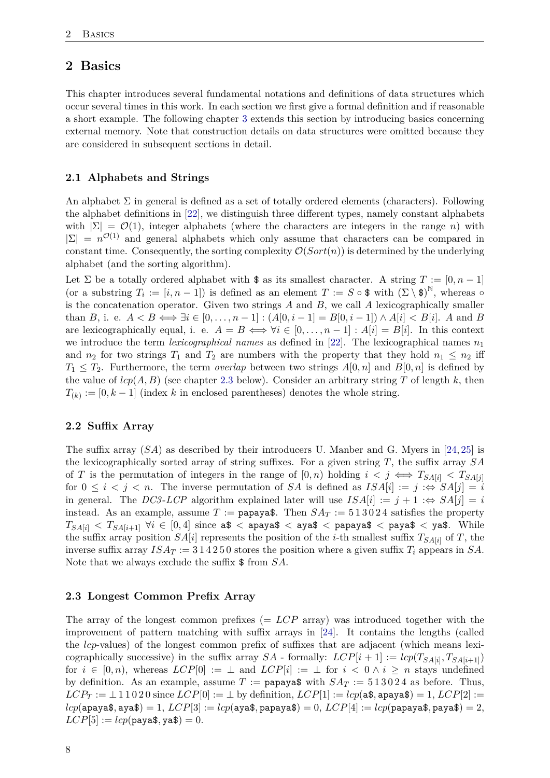# <span id="page-7-0"></span>**2 Basics**

This chapter introduces several fundamental notations and definitions of data structures which occur several times in this work. In each section we first give a formal definition and if reasonable a short example. The following chapter [3](#page-9-0) extends this section by introducing basics concerning external memory. Note that construction details on data structures were omitted because they are considered in subsequent sections in detail.

#### <span id="page-7-1"></span>**2.1 Alphabets and Strings**

An alphabet  $\Sigma$  in general is defined as a set of totally ordered elements (characters). Following the alphabet definitions in [\[22\]](#page-34-4), we distinguish three different types, namely constant alphabets with  $|\Sigma| = \mathcal{O}(1)$ , integer alphabets (where the characters are integers in the range *n*) with  $|\Sigma| = n^{\mathcal{O}(1)}$  and general alphabets which only assume that characters can be compared in constant time. Consequently, the sorting complexity  $\mathcal{O}(Sort(n))$  is determined by the underlying alphabet (and the sorting algorithm).

Let  $\Sigma$  be a totally ordered alphabet with  $\hat{\mathbf{s}}$  as its smallest character. A string  $T := [0, n-1]$ (or a substring  $T_i := [i, n-1]$ ) is defined as an element  $T := S \circ \mathcal{F}$  with  $(\Sigma \setminus \mathcal{F})^{\mathbb{N}}$ , whereas  $\circ$ is the concatenation operator. Given two strings *A* and *B*, we call *A* lexicographically smaller than *B*, i. e.  $A < B \iff \exists i \in [0, ..., n-1] : (A[0, i-1] = B[0, i-1]) \land A[i] < B[i]$ . *A* and *B* are lexicographically equal, i. e.  $A = B \iff \forall i \in [0, \ldots, n-1] : A[i] = B[i]$ . In this context we introduce the term *lexicographical names* as defined in [\[22\]](#page-34-4). The lexicographical names  $n_1$ and  $n_2$  for two strings  $T_1$  and  $T_2$  are numbers with the property that they hold  $n_1 \leq n_2$  iff  $T_1 \leq T_2$ . Furthermore, the term *overlap* between two strings  $A[0,n]$  and  $B[0,n]$  is defined by the value of  $lcp(A, B)$  (see chapter [2.3](#page-7-3) below). Consider an arbitrary string T of length k, then  $T_{(k)} := [0, k-1]$  (index *k* in enclosed parentheses) denotes the whole string.

#### <span id="page-7-2"></span>**2.2 Suffix Array**

The suffix array (*SA*) as described by their introducers U. Manber and G. Myers in [\[24,](#page-34-0) [25\]](#page-34-1) is the lexicographically sorted array of string suffixes. For a given string *T*, the suffix array *SA* of *T* is the permutation of integers in the range of  $[0, n)$  holding  $i < j \iff T_{SA[i]} < T_{SA[i]}$ for  $0 \leq i \leq j \leq n$ . The inverse permutation of *SA* is defined as  $ISA[i] := j \Leftrightarrow SA[j] = i$ in general. The *DC3*-*LCP* algorithm explained later will use  $ISA[i] := j + 1 : \Leftrightarrow SA[j] = i$ instead. As an example, assume  $T :=$  papaya\$. Then  $SA_T := 513024$  satisfies the property  $T_{SAl[i]} < T_{SAl[i+1]}$   $\forall i \in [0,4]$  since a\$ < apaya\$ < aya\$ < papaya\$ < paya\$ < ya\$. While the suffix array position  $SA[i]$  represents the position of the *i*-th smallest suffix  $T_{SA[i]}$  of *T*, the inverse suffix array  $ISA_T := 314250$  stores the position where a given suffix  $T_i$  appears in  $SA$ . Note that we always exclude the suffix \$ from *SA*.

#### <span id="page-7-3"></span>**2.3 Longest Common Prefix Array**

The array of the longest common prefixes (= *LCP* array) was introduced together with the improvement of pattern matching with suffix arrays in [\[24\]](#page-34-0). It contains the lengths (called the *lcp*-values) of the longest common prefix of suffixes that are adjacent (which means lexicographically successive) in the suffix array  $SA$  - formally:  $LCP[i + 1] := \text{lcp}(T_{SA[i]}, T_{SA[i+1]})$ for  $i \in [0, n)$ , whereas  $LCP[0] := \perp$  and  $LCP[i] := \perp$  for  $i < 0 \wedge i \geq n$  stays undefined by definition. As an example, assume  $T := \text{papaya$}$  with  $SA_T := 513024$  as before. Thus,  $LCP_T := \bot 1 1 0 2 0$  since  $LCP[0] := \bot$  by definition,  $LCP[1] := lcp(a\$ , apaya $\$ ) = 1,  $LCP[2] :=$  $lcp$ (apaya\$, aya\$) = 1,  $LCP[3] := lcp$ (aya\$, papaya\$) = 0,  $LCP[4] := lcp$ (papaya\$, paya\$) = 2,  $LCP[5] := lcp(p$ <sub>aya\$</sub>, ya\$) = 0.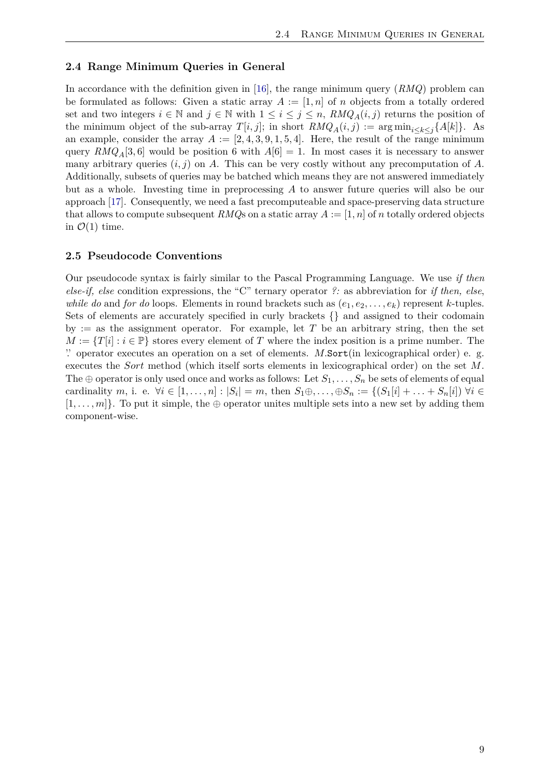#### <span id="page-8-0"></span>**2.4 Range Minimum Queries in General**

In accordance with the definition given in [\[16\]](#page-33-10), the range minimum query (*RMQ*) problem can be formulated as follows: Given a static array  $A := [1, n]$  of *n* objects from a totally ordered set and two integers  $i \in \mathbb{N}$  and  $j \in \mathbb{N}$  with  $1 \leq i \leq j \leq n$ ,  $RMQ_A(i, j)$  returns the position of the minimum object of the sub-array  $T[i, j]$ ; in short  $RMQ_A(i, j) := \arg \min_{i \leq k \leq j} \{A[k]\}$ . As an example, consider the array  $A := [2, 4, 3, 9, 1, 5, 4]$ . Here, the result of the range minimum query  $RMQ_A[3,6]$  would be position 6 with  $A[6] = 1$ . In most cases it is necessary to answer many arbitrary queries (*i, j*) on *A*. This can be very costly without any precomputation of *A*. Additionally, subsets of queries may be batched which means they are not answered immediately but as a whole. Investing time in preprocessing *A* to answer future queries will also be our approach [\[17\]](#page-33-11). Consequently, we need a fast precomputeable and space-preserving data structure that allows to compute subsequent *RMQ*s on a static array  $A := [1, n]$  of *n* totally ordered objects in  $\mathcal{O}(1)$  time.

#### <span id="page-8-1"></span>**2.5 Pseudocode Conventions**

Our pseudocode syntax is fairly similar to the Pascal Programming Language. We use *if then else-if, else* condition expressions, the "C" ternary operator *?:* as abbreviation for *if then, else*, *while do* and *for do* loops. Elements in round brackets such as  $(e_1, e_2, \ldots, e_k)$  represent *k*-tuples. Sets of elements are accurately specified in curly brackets {} and assigned to their codomain by := as the assignment operator. For example, let  $T$  be an arbitrary string, then the set  $M := \{T[i] : i \in \mathbb{P}\}\$  stores every element of *T* where the index position is a prime number. The '.' operator executes an operation on a set of elements. *M.*Sort(in lexicographical order) e. g. executes the *Sort* method (which itself sorts elements in lexicographical order) on the set *M*. The  $\oplus$  operator is only used once and works as follows: Let  $S_1, \ldots, S_n$  be sets of elements of equal cardinality m, i. e.  $\forall i \in [1, ..., n]: |S_i| = m$ , then  $S_1 \oplus ... \oplus S_n := \{(S_1[i] + ... + S_n[i]) \,\forall i \in \mathbb{N}\}$  $[1, \ldots, m]$ . To put it simple, the ⊕ operator unites multiple sets into a new set by adding them component-wise.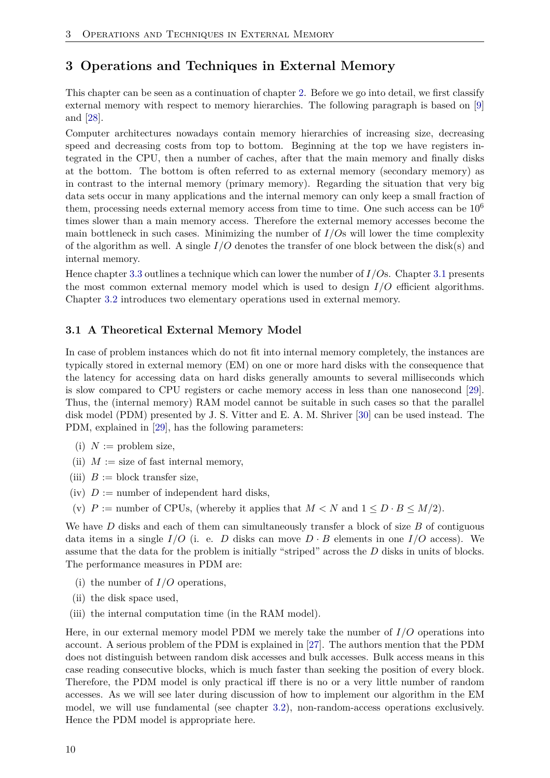# <span id="page-9-0"></span>**3 Operations and Techniques in External Memory**

This chapter can be seen as a continuation of chapter [2.](#page-7-0) Before we go into detail, we first classify external memory with respect to memory hierarchies. The following paragraph is based on [\[9\]](#page-33-12) and [\[28\]](#page-34-6).

Computer architectures nowadays contain memory hierarchies of increasing size, decreasing speed and decreasing costs from top to bottom. Beginning at the top we have registers integrated in the CPU, then a number of caches, after that the main memory and finally disks at the bottom. The bottom is often referred to as external memory (secondary memory) as in contrast to the internal memory (primary memory). Regarding the situation that very big data sets occur in many applications and the internal memory can only keep a small fraction of them, processing needs external memory access from time to time. One such access can be  $10^6$ times slower than a main memory access. Therefore the external memory accesses become the main bottleneck in such cases. Minimizing the number of  $I/Os$  will lower the time complexity of the algorithm as well. A single *I/O* denotes the transfer of one block between the disk(s) and internal memory.

Hence chapter [3.3](#page-10-1) outlines a technique which can lower the number of *I/O*s. Chapter [3.1](#page-9-1) presents the most common external memory model which is used to design *I/O* efficient algorithms. Chapter [3.2](#page-10-0) introduces two elementary operations used in external memory.

#### <span id="page-9-1"></span>**3.1 A Theoretical External Memory Model**

In case of problem instances which do not fit into internal memory completely, the instances are typically stored in external memory (EM) on one or more hard disks with the consequence that the latency for accessing data on hard disks generally amounts to several milliseconds which is slow compared to CPU registers or cache memory access in less than one nanosecond [\[29\]](#page-34-7). Thus, the (internal memory) RAM model cannot be suitable in such cases so that the parallel disk model (PDM) presented by J. S. Vitter and E. A. M. Shriver [\[30\]](#page-34-8) can be used instead. The PDM, explained in [\[29\]](#page-34-7), has the following parameters:

- (i)  $N :=$  problem size,
- (ii)  $M :=$  size of fast internal memory,
- (iii)  $B := \text{block transfer size},$
- (iv)  $D :=$  number of independent hard disks,
- (v)  $P :=$  number of CPUs, (whereby it applies that  $M < N$  and  $1 \leq D \cdot B \leq M/2$ ).

We have *D* disks and each of them can simultaneously transfer a block of size *B* of contiguous data items in a single  $I/O$  (i. e. *D* disks can move  $D \cdot B$  elements in one  $I/O$  access). We assume that the data for the problem is initially "striped" across the *D* disks in units of blocks. The performance measures in PDM are:

- (i) the number of *I/O* operations,
- (ii) the disk space used,
- (iii) the internal computation time (in the RAM model).

Here, in our external memory model PDM we merely take the number of *I/O* operations into account. A serious problem of the PDM is explained in [\[27\]](#page-34-5). The authors mention that the PDM does not distinguish between random disk accesses and bulk accesses. Bulk access means in this case reading consecutive blocks, which is much faster than seeking the position of every block. Therefore, the PDM model is only practical iff there is no or a very little number of random accesses. As we will see later during discussion of how to implement our algorithm in the EM model, we will use fundamental (see chapter [3.2\)](#page-10-0), non-random-access operations exclusively. Hence the PDM model is appropriate here.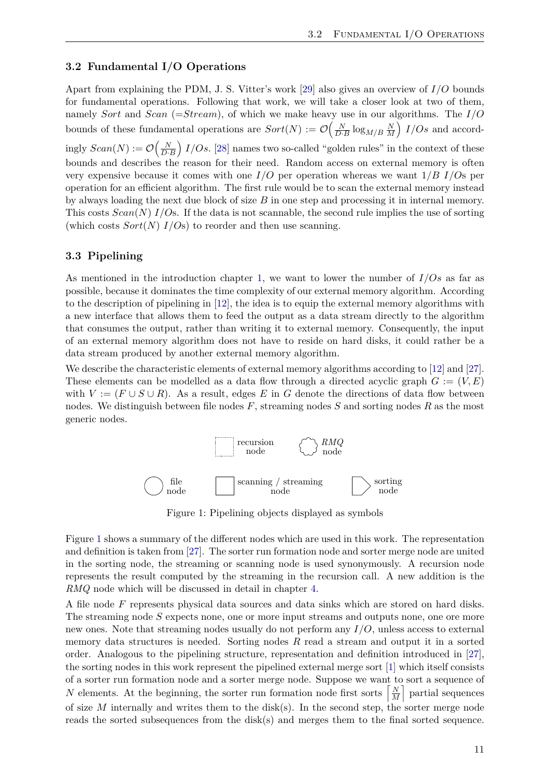#### <span id="page-10-0"></span>**3.2 Fundamental I/O Operations**

Apart from explaining the PDM, J. S. Vitter's work [\[29\]](#page-34-7) also gives an overview of *I/O* bounds for fundamental operations. Following that work, we will take a closer look at two of them, namely *Sort* and *Scan* (=*Stream*), of which we make heavy use in our algorithms. The *I/O* bounds of these fundamental operations are  $Sort(N) := \mathcal{O}\left(\frac{N}{D \cdot B}\log_{M/B}\frac{N}{M}\right)$  $\frac{N}{M}$  *I/Os* and accordingly  $Scan(N) := \mathcal{O}\left(\frac{N}{D \cdot B}\right) I/Os$ . [\[28\]](#page-34-6) names two so-called "golden rules" in the context of these bounds and describes the reason for their need. Random access on external memory is often very expensive because it comes with one *I/O* per operation whereas we want 1*/B I/O*s per operation for an efficient algorithm. The first rule would be to scan the external memory instead by always loading the next due block of size *B* in one step and processing it in internal memory. This costs *Scan*(*N*) *I/O*s. If the data is not scannable, the second rule implies the use of sorting (which costs  $Sort(N)$   $I/Os$ ) to reorder and then use scanning.

#### <span id="page-10-1"></span>**3.3 Pipelining**

As mentioned in the introduction chapter [1,](#page-5-0) we want to lower the number of *I/Os* as far as possible, because it dominates the time complexity of our external memory algorithm. According to the description of pipelining in [\[12\]](#page-33-13), the idea is to equip the external memory algorithms with a new interface that allows them to feed the output as a data stream directly to the algorithm that consumes the output, rather than writing it to external memory. Consequently, the input of an external memory algorithm does not have to reside on hard disks, it could rather be a data stream produced by another external memory algorithm.

We describe the characteristic elements of external memory algorithms according to [\[12\]](#page-33-13) and [\[27\]](#page-34-5). These elements can be modelled as a data flow through a directed acyclic graph  $G := (V, E)$ with  $V := (F \cup S \cup R)$ . As a result, edges E in G denote the directions of data flow between nodes. We distinguish between file nodes *F*, streaming nodes *S* and sorting nodes *R* as the most generic nodes.



Figure 1: Pipelining objects displayed as symbols

<span id="page-10-2"></span>Figure [1](#page-10-2) shows a summary of the different nodes which are used in this work. The representation and definition is taken from [\[27\]](#page-34-5). The sorter run formation node and sorter merge node are united in the sorting node, the streaming or scanning node is used synonymously. A recursion node represents the result computed by the streaming in the recursion call. A new addition is the *RMQ* node which will be discussed in detail in chapter [4.](#page-12-0)

A file node *F* represents physical data sources and data sinks which are stored on hard disks. The streaming node *S* expects none, one or more input streams and outputs none, one ore more new ones. Note that streaming nodes usually do not perform any *I/O*, unless access to external memory data structures is needed. Sorting nodes *R* read a stream and output it in a sorted order. Analogous to the pipelining structure, representation and definition introduced in [\[27\]](#page-34-5), the sorting nodes in this work represent the pipelined external merge sort [\[1\]](#page-33-14) which itself consists of a sorter run formation node and a sorter merge node. Suppose we want to sort a sequence of *N* elements. At the beginning, the sorter run formation node first sorts  $\left[\frac{N}{M}\right]$  $\left[\frac{N}{M}\right]$  partial sequences of size *M* internally and writes them to the disk(s). In the second step, the sorter merge node reads the sorted subsequences from the disk(s) and merges them to the final sorted sequence.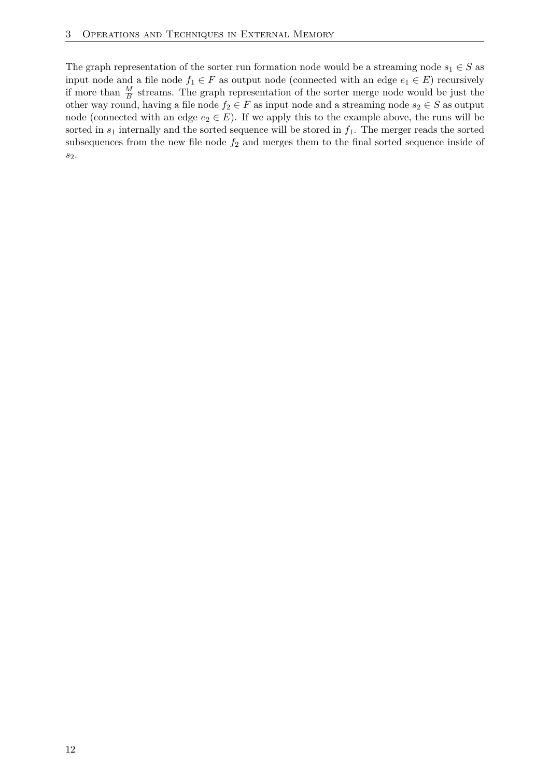The graph representation of the sorter run formation node would be a streaming node  $s_1 \in S$  as input node and a file node  $f_1 \in F$  as output node (connected with an edge  $e_1 \in E$ ) recursively if more than  $\frac{M}{B}$  streams. The graph representation of the sorter merge node would be just the other way round, having a file node  $f_2 \in F$  as input node and a streaming node  $s_2 \in S$  as output node (connected with an edge  $e_2 \in E$ ). If we apply this to the example above, the runs will be sorted in  $s_1$  internally and the sorted sequence will be stored in  $f_1$ . The merger reads the sorted subsequences from the new file node  $f_2$  and merges them to the final sorted sequence inside of *s*2.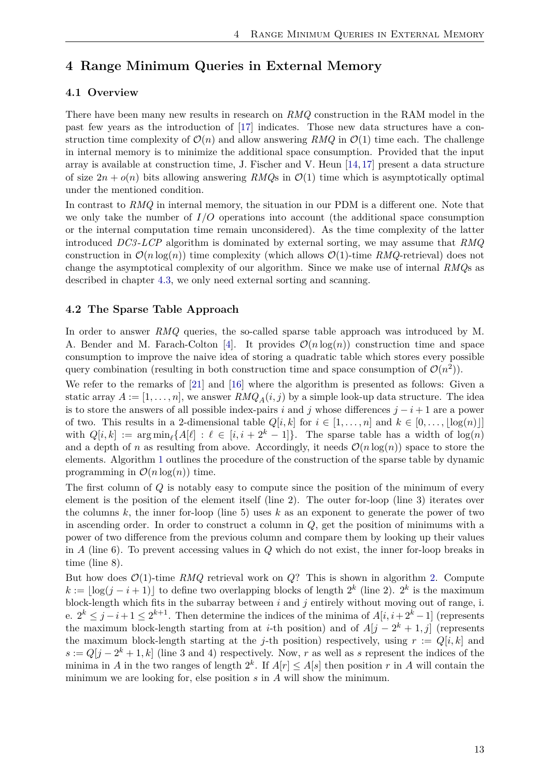# <span id="page-12-0"></span>**4 Range Minimum Queries in External Memory**

#### <span id="page-12-1"></span>**4.1 Overview**

There have been many new results in research on *RMQ* construction in the RAM model in the past few years as the introduction of [\[17\]](#page-33-11) indicates. Those new data structures have a construction time complexity of  $\mathcal{O}(n)$  and allow answering *RMQ* in  $\mathcal{O}(1)$  time each. The challenge in internal memory is to minimize the additional space consumption. Provided that the input array is available at construction time, J. Fischer and V. Heun [\[14,](#page-33-15) [17\]](#page-33-11) present a data structure of size  $2n + o(n)$  bits allowing answering *RMQs* in  $\mathcal{O}(1)$  time which is asymptotically optimal under the mentioned condition.

In contrast to *RMQ* in internal memory, the situation in our PDM is a different one. Note that we only take the number of *I/O* operations into account (the additional space consumption or the internal computation time remain unconsidered). As the time complexity of the latter introduced *DC3* -*LCP* algorithm is dominated by external sorting, we may assume that *RMQ* construction in  $\mathcal{O}(n \log(n))$  time complexity (which allows  $\mathcal{O}(1)$ -time *RMQ*-retrieval) does not change the asymptotical complexity of our algorithm. Since we make use of internal *RMQ*s as described in chapter [4.3,](#page-14-0) we only need external sorting and scanning.

#### <span id="page-12-2"></span>**4.2 The Sparse Table Approach**

In order to answer *RMQ* queries, the so-called sparse table approach was introduced by M. A. Bender and M. Farach-Colton [\[4\]](#page-33-16). It provides  $\mathcal{O}(n \log(n))$  construction time and space consumption to improve the naive idea of storing a quadratic table which stores every possible query combination (resulting in both construction time and space consumption of  $\mathcal{O}(n^2)$ ).

We refer to the remarks of [\[21\]](#page-34-9) and [\[16\]](#page-33-10) where the algorithm is presented as follows: Given a static array  $A := [1, \ldots, n]$ , we answer  $RMQ_A(i, j)$  by a simple look-up data structure. The idea is to store the answers of all possible index-pairs *i* and *j* whose differences  $j - i + 1$  are a power of two. This results in a 2-dimensional table  $Q[i, k]$  for  $i \in [1, \ldots, n]$  and  $k \in [0, \ldots, |\log(n)|]$ with  $Q[i, k] := \arg \min_{\ell} \{A[\ell] : \ell \in [i, i + 2^k - 1]\}.$  The sparse table has a width of  $\log(n)$ and a depth of *n* as resulting from above. Accordingly, it needs  $\mathcal{O}(n \log(n))$  space to store the elements. Algorithm [1](#page-13-0) outlines the procedure of the construction of the sparse table by dynamic programming in  $\mathcal{O}(n \log(n))$  time.

The first column of *Q* is notably easy to compute since the position of the minimum of every element is the position of the element itself (line 2). The outer for-loop (line 3) iterates over the columns *k*, the inner for-loop (line 5) uses *k* as an exponent to generate the power of two in ascending order. In order to construct a column in *Q*, get the position of minimums with a power of two difference from the previous column and compare them by looking up their values in *A* (line 6). To prevent accessing values in *Q* which do not exist, the inner for-loop breaks in time (line 8).

But how does  $\mathcal{O}(1)$ -time *RMQ* retrieval work on *Q*? This is shown in algorithm [2.](#page-13-1) Compute  $k := |\log(j - i + 1)|$  to define two overlapping blocks of length  $2^k$  (line 2).  $2^k$  is the maximum block-length which fits in the subarray between *i* and *j* entirely without moving out of range, i. e.  $2^k$  ≤  $j-i+1$  ≤  $2^{k+1}$ . Then determine the indices of the minima of  $A[i, i+2^k-1]$  (represents the maximum block-length starting from at *i*-th position) and of  $A[j - 2^k + 1, j]$  (represents the maximum block-length starting at the *j*-th position) respectively, using  $r := Q[i, k]$  and  $s := Q[j - 2^k + 1, k]$  (line 3 and 4) respectively. Now, *r* as well as *s* represent the indices of the minima in *A* in the two ranges of length  $2^k$ . If  $A[r] \leq A[s]$  then position *r* in *A* will contain the minimum we are looking for, else position *s* in *A* will show the minimum.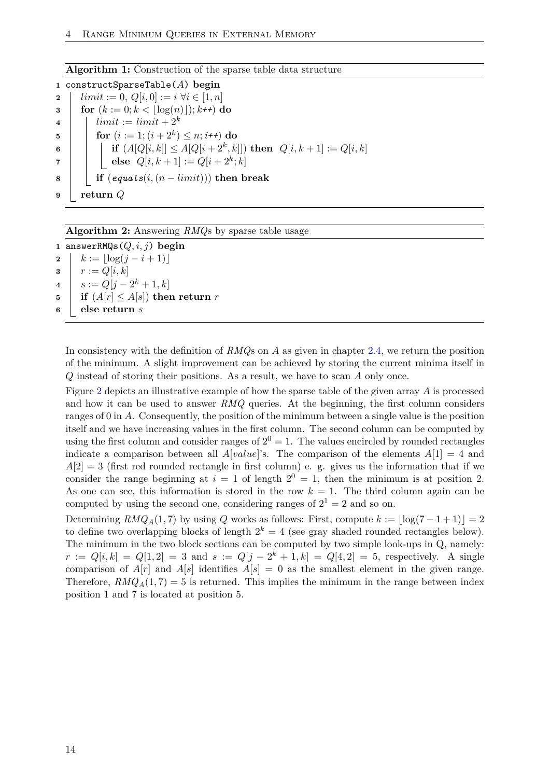#### **Algorithm 1:** Construction of the sparse table data structure

<span id="page-13-0"></span>**<sup>1</sup>** constructSparseTable(*A*) **begin 2** *l*  $limit := 0, Q[i, 0] := i \ \forall i \in [1, n]$ **3 for**  $(k := 0; k < |\log(n)|); k \mapsto k$ **do**  $\textbf{4}$  |  $limit := limit + 2^k$  $\textbf{5}$  **for**  $(i := 1; (i + 2^k) \leq n; i \nmid \textbf{+} \textbf{+}$ ) do  $\textbf{f} \textbf{f} \quad | \quad | \quad \textbf{if} \; (A[Q[i,k]] \leq A[Q[i+2^k,k]]) \; \textbf{then} \; \; Q[i,k+1]:=Q[i,k]$  $\bullet$  **else**  $Q[i, k+1] := Q[i+2^k; k]$ **<sup>8</sup> if** (*equals*(*i,*(*n* − *limit*))) **then break 9 return** *Q*

**Algorithm 2:** Answering *RMQ*s by sparse table usage

<span id="page-13-1"></span> answerRMQs(*Q, i, j*) **begin**  $k := \lfloor \log(j - i + 1) \rfloor$   $r := Q[i, k]$  $s := Q[j - 2^k + 1, k]$  **if**  $(A[r] \leq A[s])$  **then return** *r* **else return** *s*

In consistency with the definition of *RMQ*s on *A* as given in chapter [2.4,](#page-8-0) we return the position of the minimum. A slight improvement can be achieved by storing the current minima itself in *Q* instead of storing their positions. As a result, we have to scan *A* only once.

Figure [2](#page-14-1) depicts an illustrative example of how the sparse table of the given array *A* is processed and how it can be used to answer *RMQ* queries. At the beginning, the first column considers ranges of 0 in *A*. Consequently, the position of the minimum between a single value is the position itself and we have increasing values in the first column. The second column can be computed by using the first column and consider ranges of  $2^0 = 1$ . The values encircled by rounded rectangles indicate a comparison between all *A*[*value*]'s. The comparison of the elements  $A[1] = 4$  and  $A[2] = 3$  (first red rounded rectangle in first column) e. g. gives us the information that if we consider the range beginning at  $i = 1$  of length  $2^0 = 1$ , then the minimum is at position 2. As one can see, this information is stored in the row  $k = 1$ . The third column again can be computed by using the second one, considering ranges of  $2^1 = 2$  and so on.

Determining  $RMQ_A(1,7)$  by using *Q* works as follows: First, compute  $k := |\log(7 - 1 + 1)| = 2$ to define two overlapping blocks of length  $2^k = 4$  (see gray shaded rounded rectangles below). The minimum in the two block sections can be computed by two simple look-ups in Q, namely:  $r := Q[i, k] = Q[1, 2] = 3$  and  $s := Q[j - 2^k + 1, k] = Q[4, 2] = 5$ , respectively. A single comparison of  $A[r]$  and  $A[s]$  identifies  $A[s] = 0$  as the smallest element in the given range. Therefore,  $RMQ_A(1,7) = 5$  is returned. This implies the minimum in the range between index position 1 and 7 is located at position 5.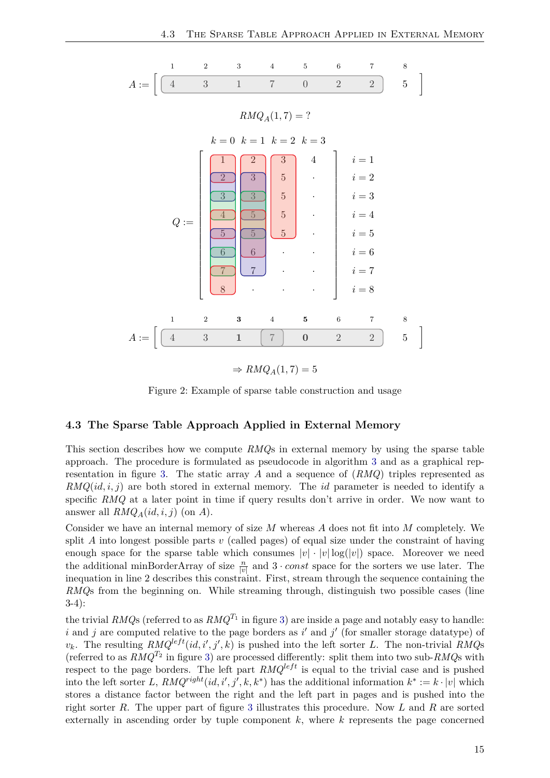

## $\Rightarrow RMQ_A(1,7) = 5$

Figure 2: Example of sparse table construction and usage

#### <span id="page-14-1"></span><span id="page-14-0"></span>**4.3 The Sparse Table Approach Applied in External Memory**

This section describes how we compute *RMQ*s in external memory by using the sparse table approach. The procedure is formulated as pseudocode in algorithm [3](#page-15-0) and as a graphical representation in figure [3.](#page-15-1) The static array *A* and a sequence of (*RMQ*) triples represented as *RMQ*(*id, i, j*) are both stored in external memory. The *id* parameter is needed to identify a specific *RMQ* at a later point in time if query results don't arrive in order. We now want to answer all  $RMQ_A(id, i, j)$  (on *A*).

Consider we have an internal memory of size *M* whereas *A* does not fit into *M* completely. We split *A* into longest possible parts *v* (called pages) of equal size under the constraint of having enough space for the sparse table which consumes  $|v| \cdot |v| \log(|v|)$  space. Moreover we need the additional minBorderArray of size  $\frac{n}{|v|}$  and  $3 \cdot const$  space for the sorters we use later. The inequation in line 2 describes this constraint. First, stream through the sequence containing the *RMQ*s from the beginning on. While streaming through, distinguish two possible cases (line 3-4):

the trivial  $RMQ$ s (referred to as  $RMQ^{T_1}$  in figure [3\)](#page-15-1) are inside a page and notably easy to handle: *i* and *j* are computed relative to the page borders as  $i'$  and  $j'$  (for smaller storage datatype) of  $v_k$ . The resulting  $RMQ^{left}(id, i', j', k)$  is pushed into the left sorter *L*. The non-trivial *RMQ*s (referred to as  $RMQ^{T_2}$  in figure [3\)](#page-15-1) are processed differently: split them into two sub- $RMQ$ s with respect to the page borders. The left part  $RMQ^{left}$  is equal to the trivial case and is pushed into the left sorter *L*,  $RMQ^{right}(id, i', j', k, k^*)$  has the additional information  $k^* := k \cdot |v|$  which stores a distance factor between the right and the left part in pages and is pushed into the right sorter *R*. The upper part of figure [3](#page-15-1) illustrates this procedure. Now *L* and *R* are sorted externally in ascending order by tuple component *k*, where *k* represents the page concerned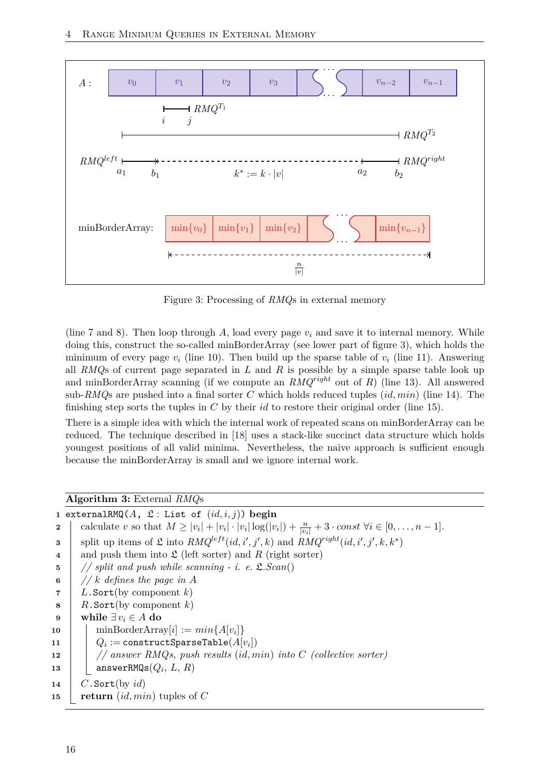

Figure 3: Processing of *RMQ*s in external memory

<span id="page-15-1"></span>(line 7 and 8). Then loop through *A*, load every page *v<sup>i</sup>* and save it to internal memory. While doing this, construct the so-called minBorderArray (see lower part of figure [3\)](#page-15-1), which holds the minimum of every page  $v_i$  (line 10). Then build up the sparse table of  $v_i$  (line 11). Answering all *RMQ*s of current page separated in *L* and *R* is possible by a simple sparse table look up and minBorderArray scanning (if we compute an *RMQright* out of *R*) (line 13). All answered sub-*RMQ*s are pushed into a final sorter *C* which holds reduced tuples (*id, min*) (line 14). The finishing step sorts the tuples in *C* by their *id* to restore their original order (line 15).

There is a simple idea with which the internal work of repeated scans on minBorderArray can be reduced. The technique described in [\[18\]](#page-33-17) uses a stack-like succinct data structure which holds youngest positions of all valid minima. Nevertheless, the naive approach is sufficient enough because the minBorderArray is small and we ignore internal work.

### **Algorithm 3:** External *RMQ*s

<span id="page-15-0"></span>

|          | 1 externalRMQ(A, $\mathfrak{L}$ : List of $(id, i, j)$ ) begin                                                                        |
|----------|---------------------------------------------------------------------------------------------------------------------------------------|
| $\bf{2}$ | calculate v so that $M \ge  v_i  +  v_i  \cdot  v_i  \log( v_i ) + \frac{n}{ v_i } + 3 \cdot const \ \forall i \in [0, \ldots, n-1].$ |
| 3        | split up items of $\mathfrak L$ into $RMQ^{left}(id, i', j', k)$ and $RMQ^{right}(id, i', j', k, k^*)$                                |
| 4        | and push them into $\mathfrak{L}$ (left sorter) and R (right sorter)                                                                  |
| 5        | // split and push while scanning - i. e. $\mathfrak{L}.Scan()$                                                                        |
| 6        | // k defines the page in A                                                                                                            |
| 7        | L. Sort(by component $k$ )                                                                                                            |
| 8        | $R$ . Sort(by component k)                                                                                                            |
| - 9      | while $\exists v_i \in A$ do                                                                                                          |
| 10       | $\min$ BorderArray $[i] := min\{A[v_i]\}$                                                                                             |
| 11       | $Q_i := \texttt{constructSparseTable}(A[v_i])$                                                                                        |
| 12       | // answer RMQs, push results (id, min) into $C$ (collective sorter)                                                                   |
| 13       | answerRMQs $(Q_i, L, R)$                                                                                                              |
| 14       | $C$ . Sort(by id)                                                                                                                     |
| 15       | return $(id, min)$ tuples of C                                                                                                        |
|          |                                                                                                                                       |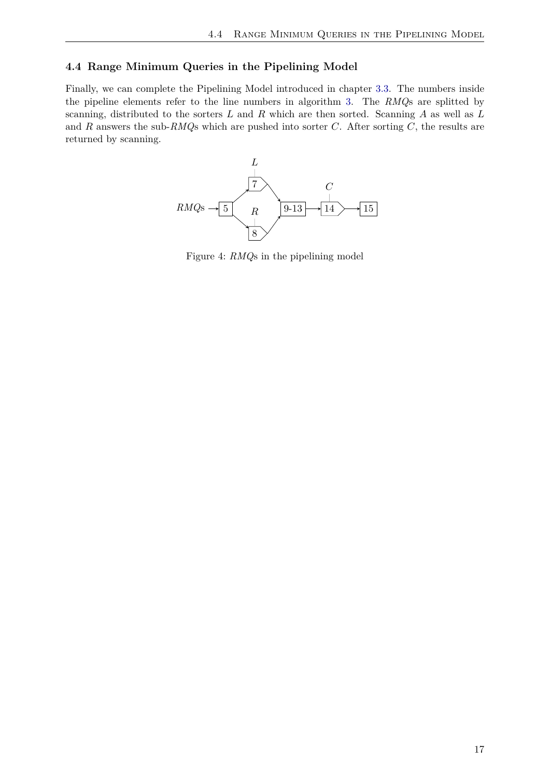## <span id="page-16-0"></span>**4.4 Range Minimum Queries in the Pipelining Model**

Finally, we can complete the Pipelining Model introduced in chapter [3.3.](#page-10-1) The numbers inside the pipeline elements refer to the line numbers in algorithm [3.](#page-15-0) The *RMQ*s are splitted by scanning, distributed to the sorters *L* and *R* which are then sorted. Scanning *A* as well as *L* and *R* answers the sub-*RMQ*s which are pushed into sorter *C*. After sorting *C*, the results are returned by scanning.



Figure 4: *RMQ*s in the pipelining model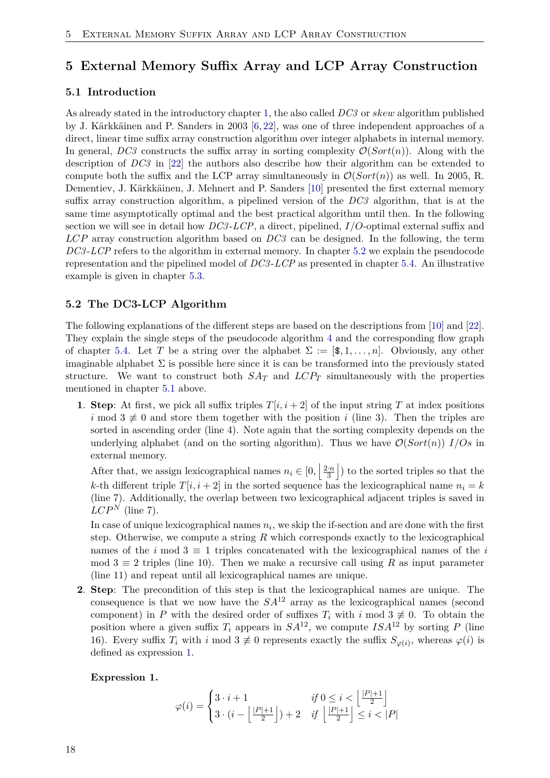# <span id="page-17-0"></span>**5 External Memory Suffix Array and LCP Array Construction**

#### <span id="page-17-1"></span>**5.1 Introduction**

As already stated in the introductory chapter [1,](#page-5-0) the also called *DC3* or *skew* algorithm published by J. Kärkkäinen and P. Sanders in 2003 [\[6,](#page-33-6) [22\]](#page-34-4), was one of three independent approaches of a direct, linear time suffix array construction algorithm over integer alphabets in internal memory. In general,  $DC3$  constructs the suffix array in sorting complexity  $\mathcal{O}(Sort(n))$ . Along with the description of *DC3* in [\[22\]](#page-34-4) the authors also describe how their algorithm can be extended to compute both the suffix and the LCP array simultaneously in  $\mathcal{O}(Sort(n))$  as well. In 2005, R. Dementiev, J. Kärkkäinen, J. Mehnert and P. Sanders [\[10\]](#page-33-18) presented the first external memory suffix array construction algorithm, a pipelined version of the *DC3* algorithm, that is at the same time asymptotically optimal and the best practical algorithm until then. In the following section we will see in detail how *DC3* -*LCP*, a direct, pipelined, *I/O*-optimal external suffix and *LCP* array construction algorithm based on *DC3* can be designed. In the following, the term *DC3* -*LCP* refers to the algorithm in external memory. In chapter [5.2](#page-17-2) we explain the pseudocode representation and the pipelined model of *DC3* -*LCP* as presented in chapter [5.4.](#page-22-0) An illustrative example is given in chapter [5.3.](#page-20-0)

#### <span id="page-17-2"></span>**5.2 The DC3-LCP Algorithm**

The following explanations of the different steps are based on the descriptions from [\[10\]](#page-33-18) and [\[22\]](#page-34-4). They explain the single steps of the pseudocode algorithm [4](#page-23-0) and the corresponding flow graph of chapter [5.4.](#page-22-0) Let *T* be a string over the alphabet  $\Sigma := [\mathcal{F}, 1, \ldots, n]$ . Obviously, any other imaginable alphabet  $\Sigma$  is possible here since it is can be transformed into the previously stated structure. We want to construct both *SA<sup>T</sup>* and *LCP<sup>T</sup>* simultaneously with the properties mentioned in chapter [5.1](#page-17-1) above.

**1. Step**: At first, we pick all suffix triples  $T[i, i + 2]$  of the input string T at index positions *i* mod  $3 \not\equiv 0$  and store them together with the position *i* (line 3). Then the triples are sorted in ascending order (line 4). Note again that the sorting complexity depends on the underlying alphabet (and on the sorting algorithm). Thus we have  $\mathcal{O}(Sort(n))$  *I/Os* in external memory.

After that, we assign lexicographical names  $n_i \in [0, \frac{2n}{3}]$  $\frac{3}{3}$ ) to the sorted triples so that the *k*-th different triple  $T[i, i + 2]$  in the sorted sequence has the lexicographical name  $n_i = k$ (line 7). Additionally, the overlap between two lexicographical adjacent triples is saved in  $LCP^N$  (line 7).

In case of unique lexicographical names  $n_i$ , we skip the if-section and are done with the first step. Otherwise, we compute a string *R* which corresponds exactly to the lexicographical names of the *i* mod  $3 \equiv 1$  triples concatenated with the lexicographical names of the *i* mod  $3 \equiv 2$  triples (line 10). Then we make a recursive call using R as input parameter (line 11) and repeat until all lexicographical names are unique.

**2**. **Step**: The precondition of this step is that the lexicographical names are unique. The consequence is that we now have the  $SA^{12}$  array as the lexicographical names (second component) in *P* with the desired order of suffixes  $T_i$  with  $i \mod 3 \not\equiv 0$ . To obtain the position where a given suffix  $T_i$  appears in  $SA^{12}$ , we compute  $ISA^{12}$  by sorting P (line 16). Every suffix  $T_i$  with  $i \mod 3 \neq 0$  represents exactly the suffix  $S_{\varphi(i)}$ , whereas  $\varphi(i)$  is defined as expression [1.](#page-17-3)

#### <span id="page-17-3"></span>**Expression 1.**

$$
\varphi(i) = \begin{cases} 3 \cdot i + 1 & \text{if } 0 \le i < \left\lfloor \frac{|P|+1}{2} \right\rfloor \\ 3 \cdot (i - \left\lfloor \frac{|P|+1}{2} \right\rfloor) + 2 & \text{if } \left\lfloor \frac{|P|+1}{2} \right\rfloor \le i < |P| \end{cases}
$$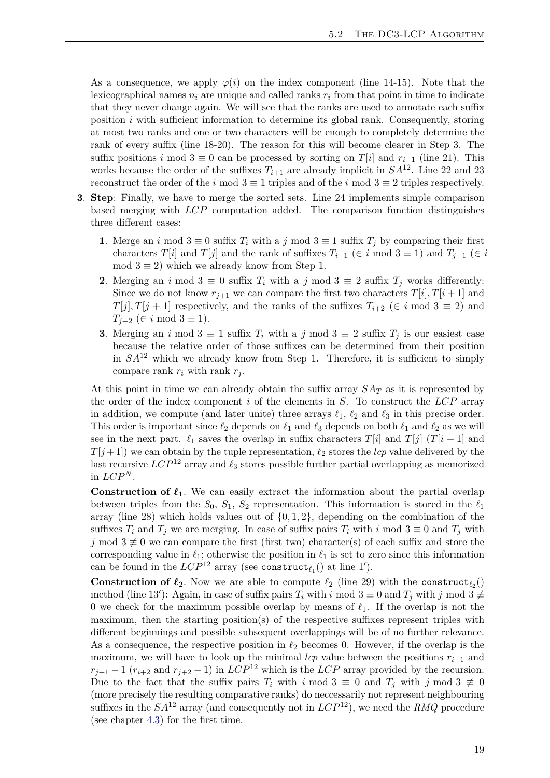As a consequence, we apply  $\varphi(i)$  on the index component (line 14-15). Note that the lexicographical names  $n_i$  are unique and called ranks  $r_i$  from that point in time to indicate that they never change again. We will see that the ranks are used to annotate each suffix position *i* with sufficient information to determine its global rank. Consequently, storing at most two ranks and one or two characters will be enough to completely determine the rank of every suffix (line 18-20). The reason for this will become clearer in Step 3. The suffix positions *i* mod  $3 \equiv 0$  can be processed by sorting on *T*[*i*] and  $r_{i+1}$  (line 21). This works because the order of the suffixes  $T_{i+1}$  are already implicit in  $SA^{12}$ . Line 22 and 23 reconstruct the order of the *i* mod  $3 \equiv 1$  triples and of the *i* mod  $3 \equiv 2$  triples respectively.

- **3**. **Step**: Finally, we have to merge the sorted sets. Line 24 implements simple comparison based merging with *LCP* computation added. The comparison function distinguishes three different cases:
	- **1**. Merge an *i* mod  $3 \equiv 0$  suffix  $T_i$  with a *j* mod  $3 \equiv 1$  suffix  $T_j$  by comparing their first characters *T*[*i*] and *T*[*j*] and the rank of suffixes  $T_{i+1}$  ( $\in i \text{ mod } 3 \equiv 1$ ) and  $T_{i+1}$  ( $\in i$ mod  $3 \equiv 2$ ) which we already know from Step 1.
	- **2**. Merging an *i* mod  $3 \equiv 0$  suffix  $T_i$  with a *j* mod  $3 \equiv 2$  suffix  $T_j$  works differently: Since we do not know  $r_{i+1}$  we can compare the first two characters  $T[i], T[i+1]$  and  $T[j], T[j+1]$  respectively, and the ranks of the suffixes  $T_{i+2}$  ( $\in i \mod 3 \equiv 2$ ) and  $T_{j+2}$  ( $\in i \mod 3 \equiv 1$ ).
	- **3**. Merging an *i* mod  $3 \equiv 1$  suffix  $T_i$  with a *j* mod  $3 \equiv 2$  suffix  $T_j$  is our easiest case because the relative order of those suffixes can be determined from their position in *SA*<sup>12</sup> which we already know from Step 1. Therefore, it is sufficient to simply compare rank  $r_i$  with rank  $r_j$ .

At this point in time we can already obtain the suffix array  $SA<sub>T</sub>$  as it is represented by the order of the index component *i* of the elements in *S*. To construct the *LCP* array in addition, we compute (and later unite) three arrays  $\ell_1$ ,  $\ell_2$  and  $\ell_3$  in this precise order. This order is important since  $\ell_2$  depends on  $\ell_1$  and  $\ell_3$  depends on both  $\ell_1$  and  $\ell_2$  as we will see in the next part.  $\ell_1$  saves the overlap in suffix characters  $T[i]$  and  $T[j]$  ( $T[i+1]$ ) and *T*[ $j$  + 1]) we can obtain by the tuple representation,  $\ell_2$  stores the *lcp* value delivered by the last recursive  $LCP^{12}$  array and  $\ell_3$  stores possible further partial overlapping as memorized in  $LCP^N$ .

**Construction of**  $\ell_1$ . We can easily extract the information about the partial overlap between triples from the  $S_0$ ,  $S_1$ ,  $S_2$  representation. This information is stored in the  $\ell_1$ array (line 28) which holds values out of {0*,* 1*,* 2}, depending on the combination of the suffixes  $T_i$  and  $T_j$  we are merging. In case of suffix pairs  $T_i$  with  $i \mod 3 \equiv 0$  and  $T_j$  with *j* mod  $3 \not\equiv 0$  we can compare the first (first two) character(s) of each suffix and store the corresponding value in  $\ell_1$ ; otherwise the position in  $\ell_1$  is set to zero since this information can be found in the  $LCP^{12}$  array (see construct<sub> $\ell_1$ </sub>) at line 1').

**Construction of**  $\ell_2$ **. Now we are able to compute**  $\ell_2$  **(line 29) with the construct<sub>** $\ell_2$ **</sub>()** method (line 13'): Again, in case of suffix pairs  $T_i$  with  $i \mod 3 \equiv 0$  and  $T_j$  with  $j \mod 3 \not\equiv 0$ 0 we check for the maximum possible overlap by means of  $\ell_1$ . If the overlap is not the maximum, then the starting position(s) of the respective suffixes represent triples with different beginnings and possible subsequent overlappings will be of no further relevance. As a consequence, the respective position in  $\ell_2$  becomes 0. However, if the overlap is the maximum, we will have to look up the minimal  $lcp$  value between the positions  $r_{i+1}$  and  $r_{j+1} - 1$  ( $r_{i+2}$  and  $r_{j+2} - 1$ ) in *LCP*<sup>12</sup> which is the *LCP* array provided by the recursion. Due to the fact that the suffix pairs  $T_i$  with  $i \mod 3 \equiv 0$  and  $T_j$  with  $j \mod 3 \not\equiv 0$ (more precisely the resulting comparative ranks) do neccessarily not represent neighbouring suffixes in the  $SA^{12}$  array (and consequently not in  $LCP^{12}$ ), we need the *RMQ* procedure (see chapter [4.3\)](#page-14-0) for the first time.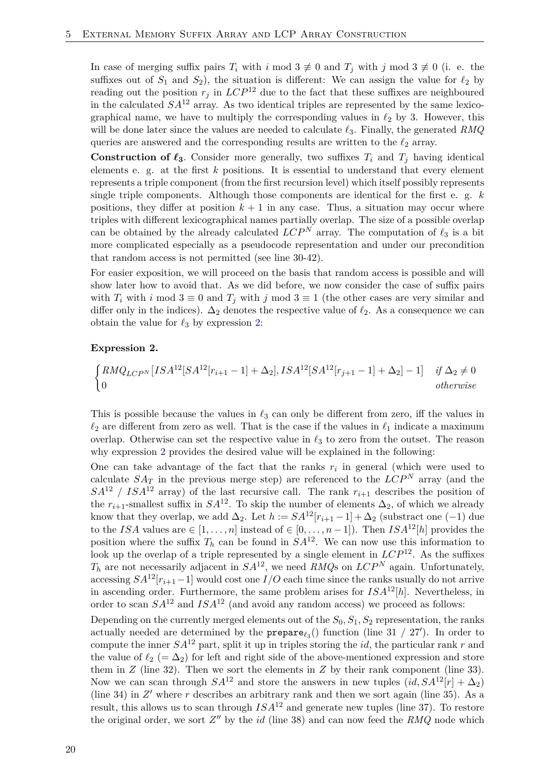In case of merging suffix pairs  $T_i$  with  $i \mod 3 \not\equiv 0$  and  $T_j$  with  $j \mod 3 \not\equiv 0$  (i. e. the suffixes out of  $S_1$  and  $S_2$ ), the situation is different: We can assign the value for  $\ell_2$  by reading out the position  $r_j$  in  $LCP^{12}$  due to the fact that these suffixes are neighboured in the calculated  $SA^{12}$  array. As two identical triples are represented by the same lexicographical name, we have to multiply the corresponding values in  $\ell_2$  by 3. However, this will be done later since the values are needed to calculate  $\ell_3$ . Finally, the generated *RMQ* queries are answered and the corresponding results are written to the  $\ell_2$  array.

**Construction of**  $\ell_3$ . Consider more generally, two suffixes  $T_i$  and  $T_j$  having identical elements e. g. at the first *k* positions. It is essential to understand that every element represents a triple component (from the first recursion level) which itself possibly represents single triple components. Although those components are identical for the first e. g. *k* positions, they differ at position  $k + 1$  in any case. Thus, a situation may occur where triples with different lexicographical names partially overlap. The size of a possible overlap can be obtained by the already calculated  $LCP^N$  array. The computation of  $\ell_3$  is a bit more complicated especially as a pseudocode representation and under our precondition that random access is not permitted (see line 30-42).

For easier exposition, we will proceed on the basis that random access is possible and will show later how to avoid that. As we did before, we now consider the case of suffix pairs with  $T_i$  with  $i \mod 3 \equiv 0$  and  $T_j$  with  $j \mod 3 \equiv 1$  (the other cases are very similar and differ only in the indices).  $\Delta_2$  denotes the respective value of  $\ell_2$ . As a consequence we can obtain the value for  $\ell_3$  by expression [2:](#page-19-0)

#### <span id="page-19-0"></span>**Expression 2.**

$$
\begin{cases} RMQ_{LCP^N}[ISA^{12}[SA^{12}[r_{i+1}-1]+\Delta_2],ISA^{12}[SA^{12}[r_{j+1}-1]+\Delta_2]-1] & if \Delta_2 \neq 0\\ 0 & otherwise \end{cases}
$$

This is possible because the values in  $\ell_3$  can only be different from zero, iff the values in  $\ell_2$  are different from zero as well. That is the case if the values in  $\ell_1$  indicate a maximum overlap. Otherwise can set the respective value in  $\ell_3$  to zero from the outset. The reason why expression [2](#page-19-0) provides the desired value will be explained in the following:

One can take advantage of the fact that the ranks  $r_i$  in general (which were used to calculate  $SA_T$  in the previous merge step) are referenced to the  $LCP^N$  array (and the  $SA^{12}$  /  $ISA^{12}$  array) of the last recursive call. The rank  $r_{i+1}$  describes the position of the  $r_{i+1}$ -smallest suffix in  $SA^{12}$ . To skip the number of elements  $\Delta_2$ , of which we already know that they overlap, we add  $\Delta_2$ . Let  $h := SA^{12}[r_{i+1} - 1] + \Delta_2$  (substract one (-1) due to the *ISA* values are  $\in [1, \ldots, n]$  instead of  $\in [0, \ldots, n-1]$ ). Then *ISA*<sup>12</sup>[*h*] provides the position where the suffix  $T_h$  can be found in  $SA^{12}$ . We can now use this information to look up the overlap of a triple represented by a single element in  $LCP^{12}$ . As the suffixes  $T_h$  are not necessarily adjacent in  $SA^{12}$ , we need  $\widetilde{RMQs}$  on  $LCP^N$  again. Unfortunately, accessing  $SA^{12}[r_{i+1}-1]$  would cost one  $I/O$  each time since the ranks usually do not arrive in ascending order. Furthermore, the same problem arises for  $ISA^{12}[h]$ . Nevertheless, in order to scan  $SA^{12}$  and  $ISA^{12}$  (and avoid any random access) we proceed as follows:

Depending on the currently merged elements out of the  $S_0, S_1, S_2$  representation, the ranks actually needed are determined by the  $prepare_{\ell_3}$ <sup>()</sup> function (line 31 / 27<sup>'</sup>). In order to compute the inner  $SA^{12}$  part, split it up in triples storing the *id*, the particular rank *r* and the value of  $\ell_2$  (=  $\Delta_2$ ) for left and right side of the above-mentioned expression and store them in  $Z$  (line 32). Then we sort the elements in  $Z$  by their rank component (line 33). Now we can scan through  $SA^{12}$  and store the answers in new tuples  $(id, SA^{12}[r] + \Delta_2)$ (line 34) in  $Z'$  where  $r$  describes an arbitrary rank and then we sort again (line 35). As a result, this allows us to scan through  $ISA^{12}$  and generate new tuples (line 37). To restore the original order, we sort  $Z''$  by the *id* (line 38) and can now feed the  $RMQ$  node which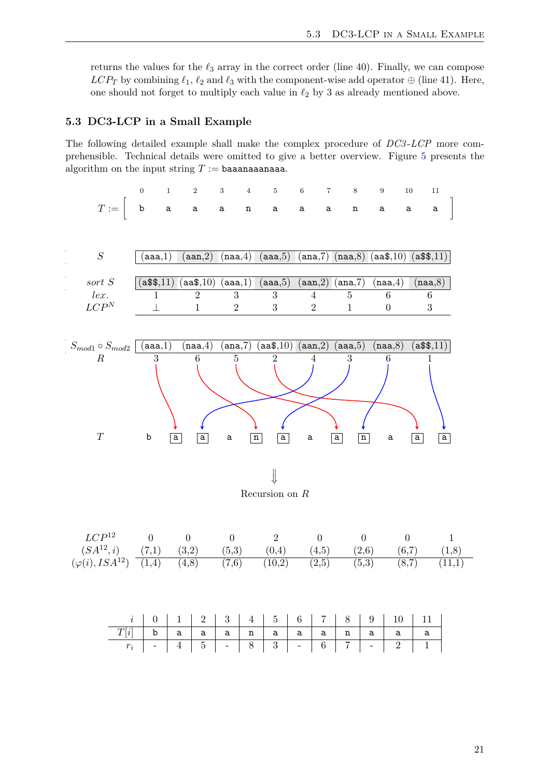returns the values for the  $\ell_3$  array in the correct order (line 40). Finally, we can compose *LCP<sub>T</sub>* by combining  $\ell_1$ ,  $\ell_2$  and  $\ell_3$  with the component-wise add operator  $\oplus$  (line 41). Here, one should not forget to multiply each value in  $\ell_2$  by 3 as already mentioned above.

#### <span id="page-20-0"></span>**5.3 DC3-LCP in a Small Example**

The following detailed example shall make the complex procedure of *DC3* -*LCP* more comprehensible. Technical details were omitted to give a better overview. Figure [5](#page-21-0) presents the algorithm on the input string  $T :=$  baaanaaanaaa.

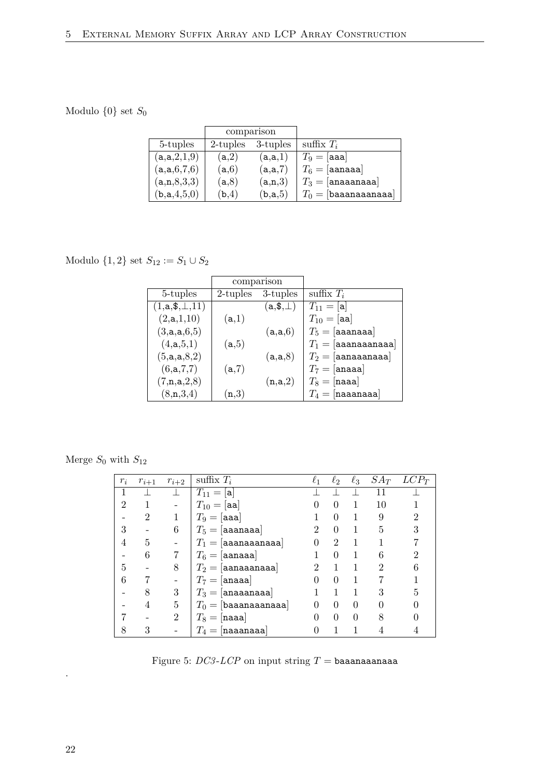# Modulo  $\{0\}$  set  $S_0$

|             | comparison  |          |                        |
|-------------|-------------|----------|------------------------|
| 5-tuples    | $2$ -tuples | 3-tuples | suffix $T_i$           |
| (a,a,2,1,9) | (a,2)       | (a,a,1)  | $T_9 = [$ aaa]         |
| (a,a,6,7,6) | (a,6)       | (a,a,7)  | $T_6 =$ [aanaaa]       |
| (a,n,8,3,3) | (a,8)       | (a,n,3)  | $T_3 = [$ anaaanaaa    |
| (b,a,4,5,0) | (b,4)       | (b,a,5)  | $T_0 =$ [baaanaaanaaa] |

Modulo  $\{1, 2\}$  set  $S_{12} := S_1 \cup S_2$ 

|                         | comparison       |                                  |                          |
|-------------------------|------------------|----------------------------------|--------------------------|
| 5-tuples                | $2$ -tuples      | 3-tuples                         | suffix $T_i$             |
| $(1, a, \, \, \pm, 11)$ |                  | $(\texttt{a},\texttt{\$},\perp)$ | $T_{11} = [a]$           |
| (2,a,1,10)              | (a,1)            |                                  | $T_{10} = [aa]$          |
| (3,a,a,6,5)             |                  | (a,a,6)                          | $T_5 =$ [aaanaaa]        |
| (4, a, 5, 1)            | (a,5)            |                                  | $T_1 = [a$ aanaaanaaa    |
| (5,a,a,8,2)             |                  | (a,a,8)                          | $T_2 = [$ aanaaanaaa $]$ |
| (6,a,7,7)               | (a,7)            |                                  | $T_7 =$ [anaaa]          |
| (7,n,a,2,8)             |                  | (n,a,2)                          | $T_8 =$ [naaa]           |
| (8, n, 3, 4)            | $(\mathtt{n.3})$ |                                  | $T_4 = [naaanaa]$        |

Merge $S_0$  with  $S_{12}$ 

| $r_i$          | $r_{i+1}$      | $r_{i+2}$      | suffix $T_i$           | $\ell_1$                    | $\ell_2$       | $\ell_3$ |               | $SA_T$ $LCP_T$ |
|----------------|----------------|----------------|------------------------|-----------------------------|----------------|----------|---------------|----------------|
|                |                |                | $T_{11} =  {\bf a} $   |                             |                |          | 11            |                |
| $\overline{2}$ |                |                | $T_{10} = [aa]$        | $\mathbf{0}$                | $\Omega$       | 1        | $10\,$        |                |
|                | $\overline{2}$ |                | $T_9 = [aaa]$          |                             | 0              |          | 9             |                |
| 3              |                | 6              | $T_5 =$ [aaanaaa]      |                             | $\theta$       |          | 5             | 3              |
| 4              | 5              |                | $T_1 =  $ aaanaaanaaa  |                             | $\overline{2}$ |          |               |                |
|                | 6              |                | $T_6 =$ [aanaaa]       |                             | 0              |          | 6             | 2              |
| 5              |                | 8              | $T_2 = [$ aanaaanaaa   | $\mathcal{D}_{\mathcal{L}}$ |                |          | $\mathcal{D}$ | 6              |
| 6              |                |                | $T_7 =$ [anaaa]        | 0                           | $\Omega$       |          |               |                |
|                | 8              | 3              | $T_3 =  $ anaaanaaa    |                             |                |          | 3             | 5              |
|                | 4              | 5              | $T_0 =$ [baaanaaanaaa] |                             | $\theta$       | 0        |               |                |
|                |                | $\overline{2}$ | $T_8 =$ [naaa]         |                             | $\theta$       | 0        |               |                |
| 8              | 3              |                | $T_4 = [$ naaanaaa     |                             |                |          |               |                |

Figure 5:  $DC3$ - $LCP$  on input string  $T =$  baaanaaanaaa

<span id="page-21-0"></span>.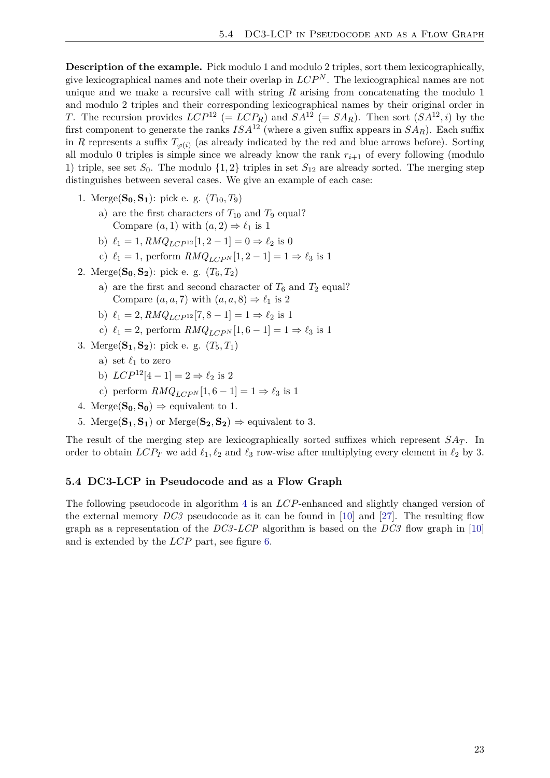**Description of the example.** Pick modulo 1 and modulo 2 triples, sort them lexicographically, give lexicographical names and note their overlap in  $LCP^N$ . The lexicographical names are not unique and we make a recursive call with string *R* arising from concatenating the modulo 1 and modulo 2 triples and their corresponding lexicographical names by their original order in *T*. The recursion provides  $LCP^{12}$  (=  $LCP_R$ ) and  $SA^{12}$  (=  $SA_R$ ). Then sort  $SA^{12}, i$ ) by the first component to generate the ranks  $ISA^{12}$  (where a given suffix appears in  $SA_R$ ). Each suffix in *R* represents a suffix  $T_{\varphi(i)}$  (as already indicated by the red and blue arrows before). Sorting all modulo 0 triples is simple since we already know the rank  $r_{i+1}$  of every following (modulo 1) triple, see set  $S_0$ . The modulo  $\{1,2\}$  triples in set  $S_{12}$  are already sorted. The merging step distinguishes between several cases. We give an example of each case:

- 1. Merge( $S_0, S_1$ ): pick e. g.  $(T_{10}, T_9)$ 
	- a) are the first characters of  $T_{10}$  and  $T_9$  equal? Compare  $(a, 1)$  with  $(a, 2) \Rightarrow \ell_1$  is 1
	- b)  $\ell_1 = 1, RMQ_{LCP^{12}}[1, 2 1] = 0 \Rightarrow \ell_2$  is 0
	- c)  $\ell_1 = 1$ , perform  $RMQ_{LCPN}[1, 2-1] = 1 \Rightarrow \ell_3$  is 1
- 2. Merge( $S_0, S_2$ ): pick e. g.  $(T_6, T_2)$ 
	- a) are the first and second character of  $T_6$  and  $T_2$  equal? Compare  $(a, a, 7)$  with  $(a, a, 8) \Rightarrow \ell_1$  is 2
	- b)  $\ell_1 = 2$ ,  $RMQ_{LCP^{12}}[7, 8 1] = 1 \Rightarrow \ell_2$  is 1
	- c)  $\ell_1 = 2$ , perform  $RMQ_{LCPN}[1, 6-1] = 1 \Rightarrow \ell_3$  is 1
- 3. Merge( $S_1, S_2$ ): pick e. g.  $(T_5, T_1)$ 
	- a) set  $\ell_1$  to zero
	- b)  $LCP^{12}[4-1] = 2 \Rightarrow \ell_2$  is 2
	- c) perform  $RMQ_{LCPN}[1, 6-1] = 1 \Rightarrow \ell_3$  is 1
- 4. Merge( $S_0$ ,  $S_0$ )  $\Rightarrow$  equivalent to 1.
- 5. Merge( $S_1$ ,  $S_1$ ) or Merge( $S_2$ ,  $S_2$ )  $\Rightarrow$  equivalent to 3.

The result of the merging step are lexicographically sorted suffixes which represent  $SAT$ . In order to obtain  $LCP_T$  we add  $\ell_1, \ell_2$  and  $\ell_3$  row-wise after multiplying every element in  $\ell_2$  by 3.

#### <span id="page-22-0"></span>**5.4 DC3-LCP in Pseudocode and as a Flow Graph**

The following pseudocode in algorithm [4](#page-23-0) is an *LCP*-enhanced and slightly changed version of the external memory *DC3* pseudocode as it can be found in [\[10\]](#page-33-18) and [\[27\]](#page-34-5). The resulting flow graph as a representation of the *DC3* -*LCP* algorithm is based on the *DC3* flow graph in [\[10\]](#page-33-18) and is extended by the *LCP* part, see figure [6.](#page-25-0)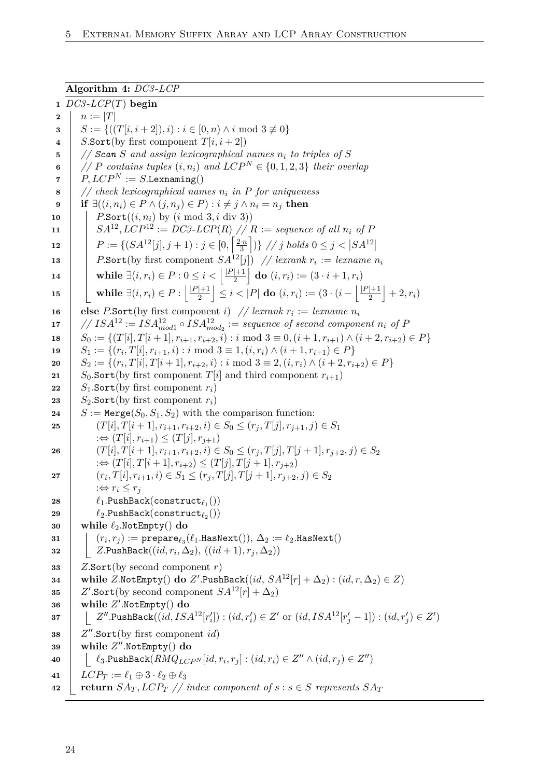#### <span id="page-23-1"></span>**Algorithm 4:** *DC3* -*LCP*

<span id="page-23-0"></span> *DC3* -*LCP*(*T*) **begin 2**  $n := |T|$   $S := \{((T[i, i + 2]), i) : i \in [0, n) \land i \text{ mod } 3 \neq 0\}$  *S.*Sort(by first component  $T[i, i+2]$ ) *// Scan S and assign lexicographical names n<sup>i</sup> to triples of S <i>// P* contains tuples  $(i, n_i)$  and  $LCP^N \in \{0, 1, 2, 3\}$  their overlap  $P, LCP^N := S.$  Lexnaming() *// check lexicographical names n<sup>i</sup> in P for uniqueness* **if** ∃ $((i, n_i) \in P \land (j, n_j) \in P) : i \neq j \land n_i = n_j$  then **P.Sort** $((i, n_i)$  by  $(i \mod 3, i \text{ div } 3))$  **SA**<sup>12</sup>, *LCP*<sup>12</sup> := *DC3*-*LCP*(*R*) // *R* := *sequence of all*  $n_i$  *of P*   $P := \{(SA^{12}[j], j+1) : j \in [0, \frac{2n}{3}]$  $\frac{3}{3}$  (1)  $\frac{1}{j}$  // *j* holds  $0 \leq j < |SA^{12}|$  *P.***Sort(by first component**  $SA^{12}[j]$ **) // lexrank**  $r_i :=$  **lexname**  $n_i$  $\textbf{14} \quad | \quad \textbf{while } \exists (i, r_i) \in P: 0 \leq i < \left| \frac{|P|+1}{2} \right|$  $\frac{|+1}{2}$  do  $(i, r_i) := (3 \cdot i + 1, r_i)$  $\textbf{15}$  **while**  $\exists (i, r_i) \in P : \frac{|P|+1}{2}$  $\left| \frac{1+1}{2} \right| \leq i < |P|$  do  $(i,r_i) := (3\cdot (i - \left| \frac{|P|+1}{2} \right|))$  $\frac{1}{2}$  + 2,  $r_i$ ) **else** *P*.Sort(by first component *i*) // *lexrank*  $r_i := \text{lemma } n_i$  *//*  $ISA^{12} := ISA_{mod1}^{12} \circ ISA_{mod2}^{12} := sequence of second component n_i of P$  $S_0 := \{(T[i], T[i+1], r_{i+1}, r_{i+2}, i) : i \text{ mod } 3 \equiv 0, (i+1, r_{i+1}) \wedge (i+2, r_{i+2}) \in P\}$  $\mathbf{19}$  **c**  $S_1 := \{(r_i, T[i], r_{i+1}, i) : i \text{ mod } 3 \equiv 1, (i, r_i) \wedge (i+1, r_{i+1}) \in P\}$  $\mathbf{20}$  **c**  $S_2 := \{(r_i, T[i], T[i+1], r_{i+2}, i) : i \text{ mod } 3 \equiv 2, (i, r_i) \wedge (i+2, r_{i+2}) \in P\}$  *S*<sub>0</sub>.Sort(by first component *T*[*i*] and third component  $r_{i+1}$ ) *S*<sub>1</sub>.Sort(by first component  $r_i$ ) *S*<sub>2</sub>.Sort(by first component  $r_i$ )  $S := \text{Merge}(S_0, S_1, S_2)$  with the comparison function:  $(T[i], T[i+1], r_{i+1}, r_{i+2}, i) \in S_0 \le (r_j, T[j], r_{j+1}, j) \in S_1$  $\Rightarrow$  (*T*[*i*]*, r*<sub>*i*+1</sub>) ≤ (*T*[*j*]*, r*<sub>*i*+1</sub>)  $(T[i], T[i+1], r_{i+1}, r_{i+2}, i) \in S_0 \le (r_i, T[j], T[j+1], r_{i+2}, j) \in S_2$  $:= \Leftrightarrow (T[i], T[i+1], r_{i+2}) \leq (T[j], T[j+1], r_{i+2})$   $(r_i, T[i], r_{i+1}, i) \in S_1 \le (r_j, T[j], T[j+1], r_{j+2}, j) \in S_2$  $\Rightarrow$  *r*<sub>*i*</sub>  $\leq$  *r*<sub>*i*</sub>  $\begin{array}{ccc} \texttt{28} & & \ell_1.\texttt{PushBack}(\texttt{construct}_{\ell_1}()) \end{array}$  $\begin{array}{ccc} 29 & \vert & \ell_2.\text{PushBack}(\text{construct}_{\ell_2}()) \end{array}$  **while** *`*2*.*NotEmpty() **do**  $\mathbf{31}$   $(r_i, r_j) := \mathtt{prepare}_{\ell_3}(\ell_1.\mathtt{HasNext})).$   $\Delta_2 := \ell_2.\mathtt{HasNext}()$  $\begin{array}{|c|c|} \hline \textbf{32} & & \end{array} \begin{array}{|c|c|} \hline \textbf{Z}.\texttt{PushBack}((id, r_i, \Delta_2), \, ((id+1), r_j, \Delta_2)) \hline \end{array}$  *Z.*Sort(by second component *r*)  $\texttt{34} \quad \Big| \quad \text{while } Z.\texttt{NotEmpty}() \textbf{ do } Z'.\texttt{PushBack}((id, SA^{12}[r]+\Delta_2): (id, r, \Delta_2) \in Z)$  *Z*'.Sort(by second component  $SA^{12}[r] + \Delta_2$ ) **while** *Z* 0 *.*NotEmpty() **do**  $\texttt{37} \quad | \quad | \quad Z''.\text{PushBack}((id,ISA^{12}[r'_i]):(id,r'_i) \in Z' \text{ or } (id,ISA^{12}[r'_j-1]):(id,r'_j) \in Z')$   $Z''$ . Sort(by first component *id*) **while** *Z* 00 *.*NotEmpty() **do**  $\texttt{40} \quad \Big| \quad \Big| \quad \ell_3.\text{PushBack}(RMQ_{LCP^N}[id,r_i,r_j]:(id,r_i)\in Z'' \land (id,r_j)\in Z'')\Big|$   $LCP_T := \ell_1 \oplus 3 \cdot \ell_2 \oplus \ell_3$ **extern**  $SA_T$ ,  $LCP_T$  // index component of  $s : s \in S$  represents  $SA_T$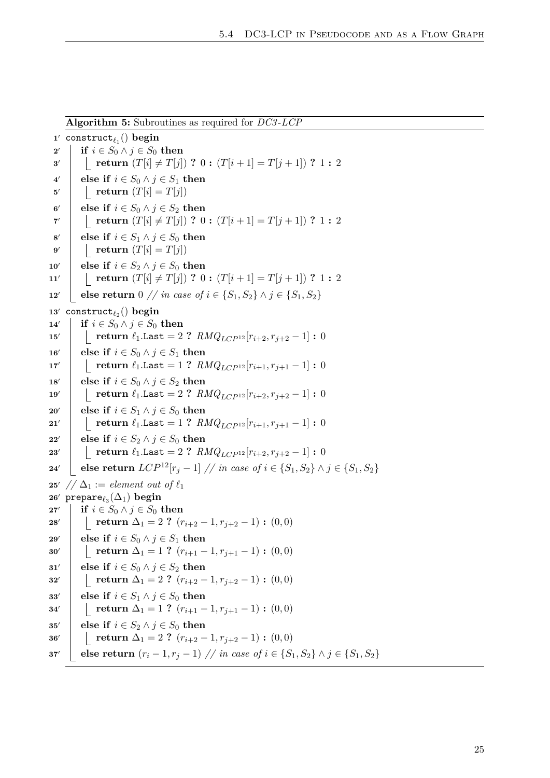|               | $\mathbf{r}$                                                                                 |
|---------------|----------------------------------------------------------------------------------------------|
|               | 1' construct <sub><math>\ell_1</math></sub> () begin                                         |
| $2^{\prime}$  | if $i \in S_0 \wedge j \in S_0$ then                                                         |
| 3'            | return $(T[i] \neq T[j])$ ? $0: (T[i+1] = T[j+1])$ ? $1: 2$                                  |
| $4^{\prime}$  | else if $i \in S_0 \land j \in S_1$ then                                                     |
| $5^{\prime}$  | return $(T[i] = T[j])$                                                                       |
| $6^{\prime}$  | else if $i \in S_0 \land j \in S_2$ then                                                     |
| $7^\prime$    | return $(T[i] \neq T[j])$ ? $0: (T[i+1] = T[j+1])$ ? $1: 2$                                  |
| $8^{\prime}$  | else if $i \in S_1 \land j \in S_0$ then                                                     |
| 9'            | return $(T[i] = T[j])$                                                                       |
| 10'           | else if $i \in S_2 \land j \in S_0$ then                                                     |
| 11'           | return $(T[i] \neq T[j])$ ? $0: (T[i+1] = T[j+1])$ ? $1: 2$                                  |
| 12'           | else return $0 \text{ // } in case \text{ of } i \in \{S_1, S_2\} \land j \in \{S_1, S_2\}$  |
| 13'           | construct <sub><math>\ell_2</math></sub> () begin                                            |
| 14'           | if $i \in S_0 \wedge j \in S_0$ then                                                         |
| 15'           | return $\ell_1$ .Last = 2 ? $RMQ_{LCP^{12}}[r_{i+2}, r_{j+2}-1]$ : 0                         |
| 16'           | else if $i \in S_0 \land j \in S_1$ then                                                     |
| 17'           | return $\ell_1$ .Last = 1 ? $RMQ_{LCP^{12}}[r_{i+1}, r_{i+1}-1]$ : 0                         |
| 18'           | else if $i \in S_0 \land j \in S_2$ then                                                     |
| 19'           | return $\ell_1$ .Last = 2 ? $RMQ_{LCP^{12}}[r_{i+2}, r_{i+2}-1]$ : 0                         |
| 20'           | else if $i \in S_1 \wedge j \in S_0$ then                                                    |
| 21'           | return $\ell_1$ .Last = 1 ? $RMQ_{LCP^{12}}[r_{i+1}, r_{i+1}-1]$ : 0                         |
| $\bf 22'$     | else if $i \in S_2 \land j \in S_0$ then                                                     |
| $\bf 23'$     | return $\ell_1$ .Last = 2 ? $RMQ_{LCP^{12}}[r_{i+2}, r_{i+2}-1]$ : 0                         |
| 24'           | else return $LCP^{12}[r_j - 1]$ // in case of $i \in \{S_1, S_2\} \land j \in \{S_1, S_2\}$  |
| $\bf 25'$     | $1/\Delta_1 :=$ element out of $\ell_1$                                                      |
| 26'           | prepare $_{\ell_3}(\Delta_1)$ begin                                                          |
| 27'           | if $i \in S_0 \wedge j \in S_0$ then                                                         |
| $28^{\prime}$ | return $\Delta_1 = 2$ ? $(r_{i+2}-1, r_{i+2}-1)$ : $(0,0)$                                   |
| $\bf 29'$     | else if $i \in S_0 \land j \in S_1$ then                                                     |
| $30^{\prime}$ | return $\Delta_1 = 1$ ? $(r_{i+1} - 1, r_{j+1} - 1)$ : $(0,0)$                               |
| 31'           | else if $i \in S_0 \land j \in S_2$ then                                                     |
| $\bf{32}'$    | return $\Delta_1 = 2$ ? $(r_{i+2}-1, r_{i+2}-1)$ : $(0,0)$                                   |
| $\bf 33'$     | else if $i \in S_1 \land j \in S_0$ then                                                     |
| $34^{\prime}$ | return $\Delta_1 = 1$ ? $(r_{i+1} - 1, r_{i+1} - 1)$ : $(0, 0)$                              |
| 35'           | else if $i \in S_2 \land j \in S_0$ then                                                     |
| $\bf{36}'$    | return $\Delta_1 = 2$ ? $(r_{i+2}-1, r_{i+2}-1)$ : $(0,0)$                                   |
| $37^{\prime}$ | else return $(r_i - 1, r_j - 1)$ // in case of $i \in \{S_1, S_2\} \land j \in \{S_1, S_2\}$ |

**Algorithm 5:** Subroutines as required for *DC3* -*LCP*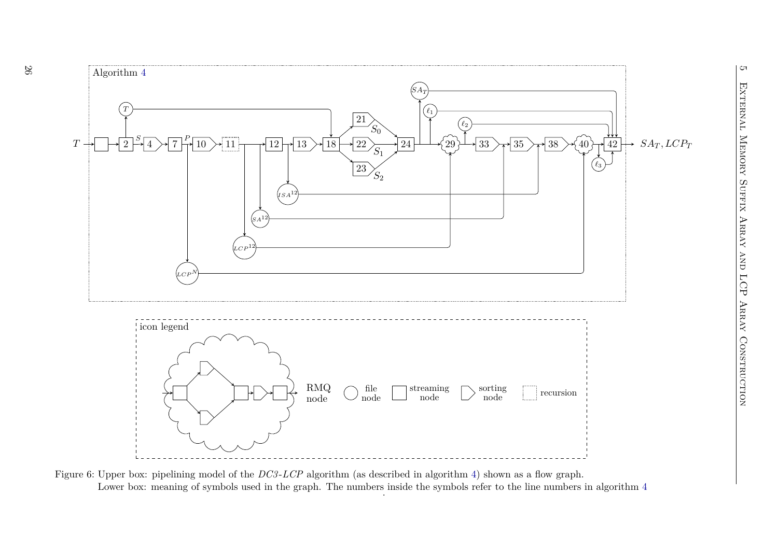<span id="page-25-0"></span>

Figure 6: Upper box: <sup>p</sup>ipelining model of the *DC3* -*LCP* algorithm (as described in algorithm [4\)](#page-23-1) shown as <sup>a</sup> flow graph. Lower box: meaning of symbols used in the graph. The numbers inside the symbols refer to the line numbers in algorithm  $4$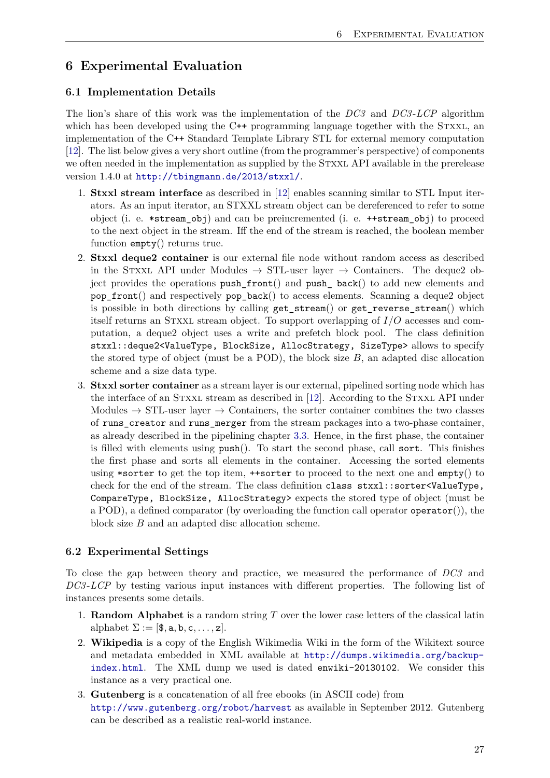# <span id="page-26-0"></span>**6 Experimental Evaluation**

### <span id="page-26-1"></span>**6.1 Implementation Details**

The lion's share of this work was the implementation of the *DC3* and *DC3* -*LCP* algorithm which has been developed using the C++ programming language together with the STXXL, an implementation of the C++ Standard Template Library STL for external memory computation [\[12\]](#page-33-13). The list below gives a very short outline (from the programmer's perspective) of components we often needed in the implementation as supplied by the STXXL API available in the prerelease version 1.4.0 at <http://tbingmann.de/2013/stxxl/>.

- 1. **Stxxl stream interface** as described in [\[12\]](#page-33-13) enables scanning similar to STL Input iterators. As an input iterator, an STXXL stream object can be dereferenced to refer to some object (i. e. \*stream\_obj) and can be preincremented (i. e. ++stream\_obj) to proceed to the next object in the stream. Iff the end of the stream is reached, the boolean member function empty() returns true.
- 2. **Stxxl deque2 container** is our external file node without random access as described in the STXXL API under Modules  $\rightarrow$  STL-user layer  $\rightarrow$  Containers. The deque2 object provides the operations push\_front() and push\_ back() to add new elements and pop\_front() and respectively pop\_back() to access elements. Scanning a deque2 object is possible in both directions by calling get\_stream() or get\_reverse\_stream() which itself returns an Stxxl stream object. To support overlapping of *I/O* accesses and computation, a deque2 object uses a write and prefetch block pool. The class definition stxxl::deque2<ValueType, BlockSize, AllocStrategy, SizeType> allows to specify the stored type of object (must be a POD), the block size *B*, an adapted disc allocation scheme and a size data type.
- 3. **Stxxl sorter container** as a stream layer is our external, pipelined sorting node which has the interface of an STXXL stream as described in [\[12\]](#page-33-13). According to the STXXL API under Modules  $\rightarrow$  STL-user layer  $\rightarrow$  Containers, the sorter container combines the two classes of runs\_creator and runs\_merger from the stream packages into a two-phase container, as already described in the pipelining chapter [3.3.](#page-10-1) Hence, in the first phase, the container is filled with elements using push(). To start the second phase, call sort. This finishes the first phase and sorts all elements in the container. Accessing the sorted elements using \*sorter to get the top item, ++sorter to proceed to the next one and empty() to check for the end of the stream. The class definition class stxxl::sorter<ValueType, CompareType, BlockSize, AllocStrategy> expects the stored type of object (must be a POD), a defined comparator (by overloading the function call operator operator()), the block size *B* and an adapted disc allocation scheme.

### <span id="page-26-2"></span>**6.2 Experimental Settings**

To close the gap between theory and practice, we measured the performance of *DC3* and *DC3* -*LCP* by testing various input instances with different properties. The following list of instances presents some details.

- 1. **Random Alphabet** is a random string *T* over the lower case letters of the classical latin alphabet  $\Sigma := [\mathbf{\$}, \mathbf{a}, \mathbf{b}, \mathbf{c}, \dots, \mathbf{z}].$
- 2. **Wikipedia** is a copy of the English Wikimedia Wiki in the form of the Wikitext source and metadata embedded in XML available at [http://dumps.wikimedia.org/backup](http://dumps.wikimedia.org/backup-index.html)[index.html](http://dumps.wikimedia.org/backup-index.html). The XML dump we used is dated enwiki-20130102. We consider this instance as a very practical one.
- 3. **Gutenberg** is a concatenation of all free ebooks (in ASCII code) from <http://www.gutenberg.org/robot/harvest> as available in September 2012. Gutenberg can be described as a realistic real-world instance.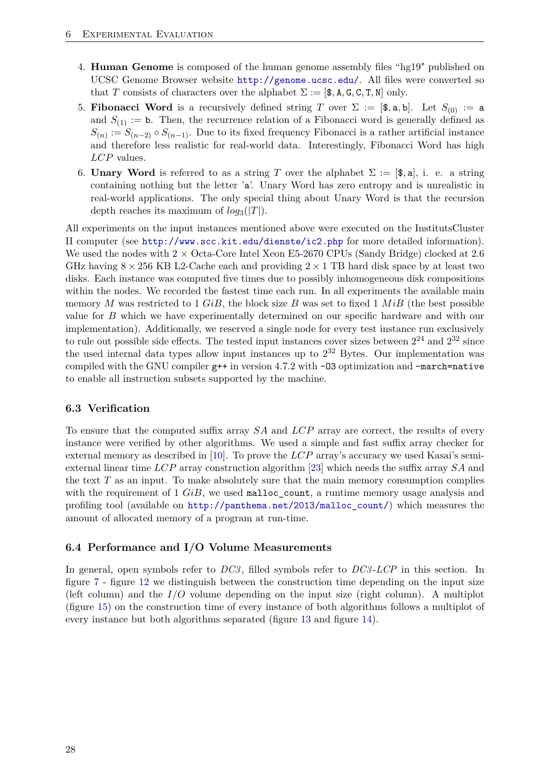- 4. **Human Genome** is composed of the human genome assembly files "hg19" published on UCSC Genome Browser website <http://genome.ucsc.edu/>. All files were converted so that *T* consists of characters over the alphabet  $\Sigma := [\mathsf{\$}, \mathsf{A}, \mathsf{G}, \mathsf{C}, \mathsf{T}, \mathsf{N}]$  only.
- 5. **Fibonacci Word** is a recursively defined string *T* over  $\Sigma := [\mathbf{\$}, \mathbf{a}, \mathbf{b}]$ . Let  $S_{(0)} := \mathbf{a}$ and  $S_{(1)} := b$ . Then, the recurrence relation of a Fibonacci word is generally defined as  $S(n) := S(n-2) \circ S(n-1)$ . Due to its fixed frequency Fibonacci is a rather artificial instance and therefore less realistic for real-world data. Interestingly, Fibonacci Word has high *LCP* values.
- 6. **Unary Word** is referred to as a string *T* over the alphabet  $\Sigma := [\mathcal{F}, \mathbf{a}]$ , i. e. a string containing nothing but the letter 'a'. Unary Word has zero entropy and is unrealistic in real-world applications. The only special thing about Unary Word is that the recursion depth reaches its maximum of  $log_3(|T|)$ .

All experiments on the input instances mentioned above were executed on the InstitutsCluster II computer (see <http://www.scc.kit.edu/dienste/ic2.php> for more detailed information). We used the nodes with  $2 \times$  Octa-Core Intel Xeon E5-2670 CPUs (Sandy Bridge) clocked at 2.6 GHz having  $8 \times 256$  KB L2-Cache each and providing  $2 \times 1$  TB hard disk space by at least two disks. Each instance was computed five times due to possibly inhomogeneous disk compositions within the nodes. We recorded the fastest time each run. In all experiments the available main memory *M* was restricted to 1 *GiB*, the block size *B* was set to fixed 1 *MiB* (the best possible value for *B* which we have experimentally determined on our specific hardware and with our implementation). Additionally, we reserved a single node for every test instance run exclusively to rule out possible side effects. The tested input instances cover sizes between  $2^{24}$  and  $2^{32}$  since the used internal data types allow input instances up to  $2^{32}$  Bytes. Our implementation was compiled with the GNU compiler g++ in version 4.7.2 with -O3 optimization and -march=native to enable all instruction subsets supported by the machine.

#### <span id="page-27-0"></span>**6.3 Verification**

To ensure that the computed suffix array *SA* and *LCP* array are correct, the results of every instance were verified by other algorithms. We used a simple and fast suffix array checker for external memory as described in [\[10\]](#page-33-18). To prove the *LCP* array's accuracy we used Kasai's semiexternal linear time *LCP* array construction algorithm [\[23\]](#page-34-2) which needs the suffix array *SA* and the text *T* as an input. To make absolutely sure that the main memory consumption complies with the requirement of 1 *GiB*, we used malloc\_count, a runtime memory usage analysis and profiling tool (available on [http://panthema.net/2013/malloc\\_count/](http://panthema.net/2013/malloc_count/)) which measures the amount of allocated memory of a program at run-time.

#### <span id="page-27-1"></span>**6.4 Performance and I/O Volume Measurements**

In general, open symbols refer to *DC3* , filled symbols refer to *DC3* -*LCP* in this section. In figure [7](#page-28-0) - figure [12](#page-29-0) we distinguish between the construction time depending on the input size (left column) and the *I/O* volume depending on the input size (right column). A multiplot (figure [15\)](#page-31-0) on the construction time of every instance of both algorithms follows a multiplot of every instance but both algorithms separated (figure [13](#page-30-0) and figure [14\)](#page-30-1).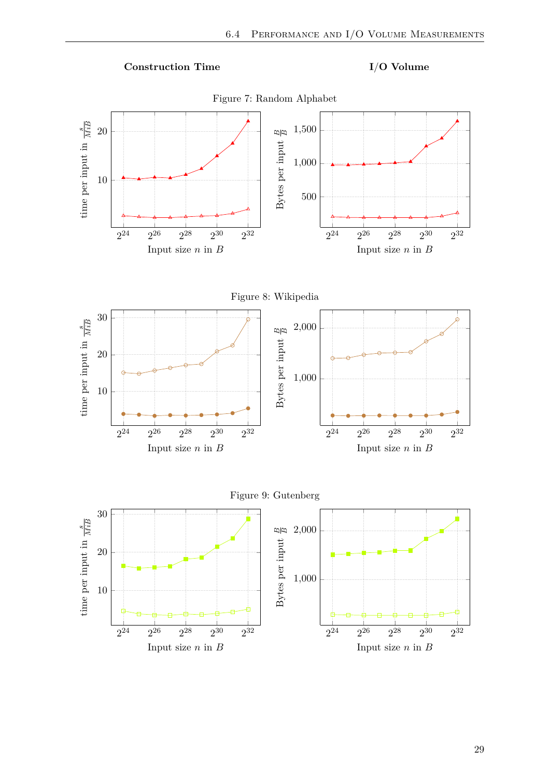

<span id="page-28-0"></span>

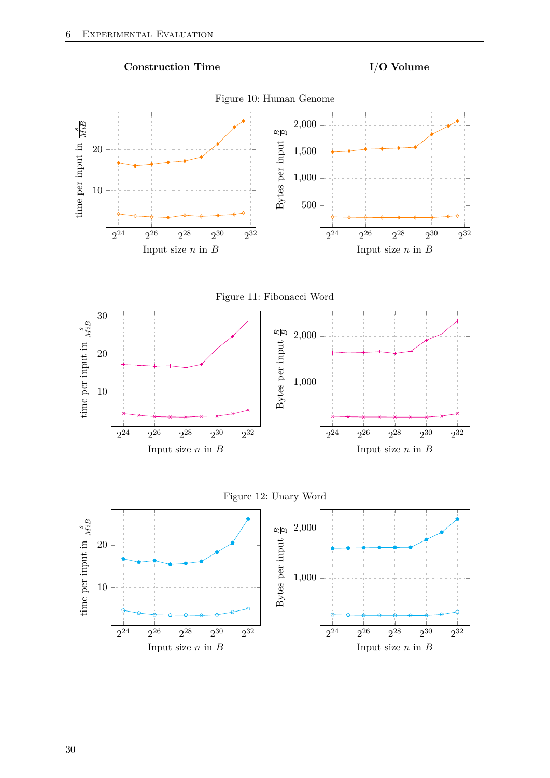









<span id="page-29-0"></span>

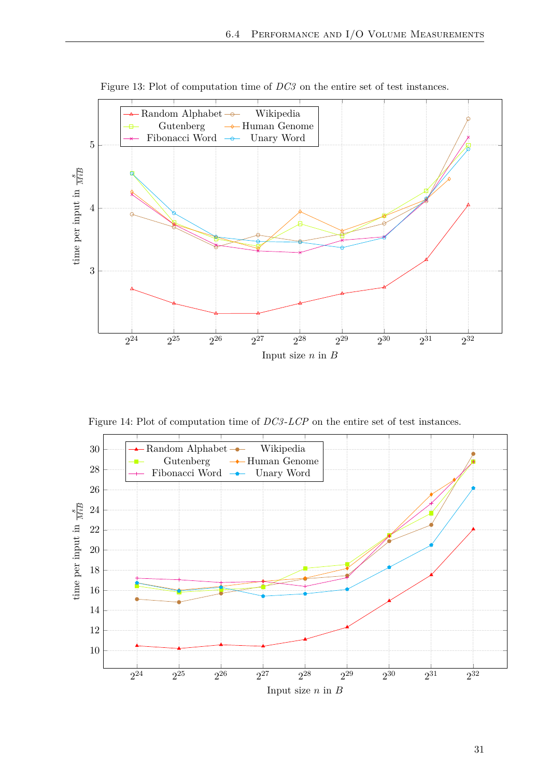<span id="page-30-0"></span>

Figure 13: Plot of computation time of *DC3* on the entire set of test instances.

Figure 14: Plot of computation time of *DC3*-*LCP* on the entire set of test instances.

<span id="page-30-1"></span>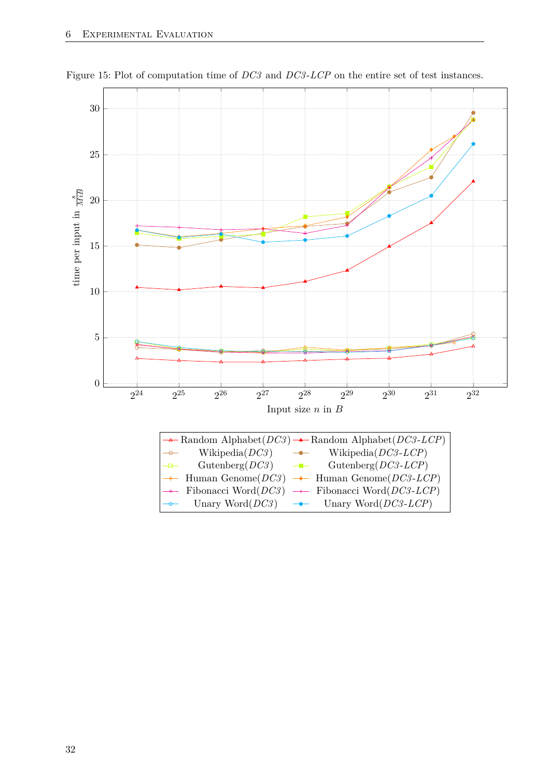<span id="page-31-0"></span>

Figure 15: Plot of computation time of *DC3* and *DC3* -*LCP* on the entire set of test instances.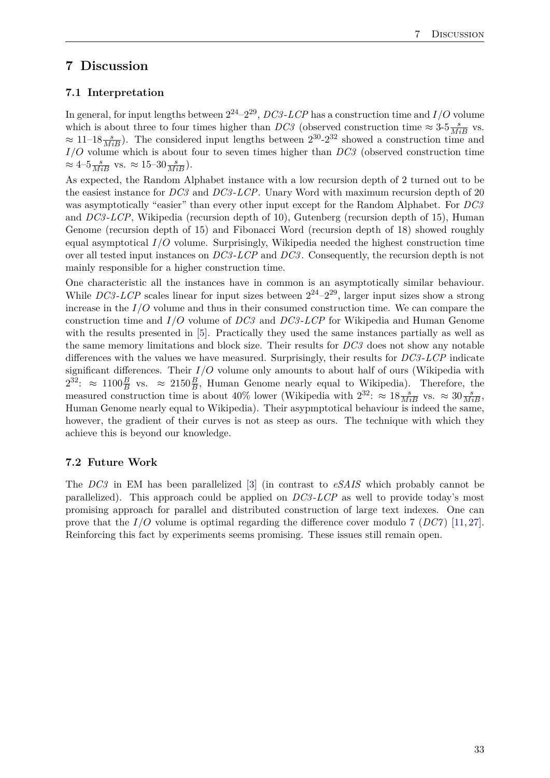# <span id="page-32-0"></span>**7 Discussion**

## <span id="page-32-1"></span>**7.1 Interpretation**

In general, for input lengths between  $2^{24} - 2^{29}$ , *DC3*-*LCP* has a construction time and *I/O* volume which is about three to four times higher than *DC3* (observed construction time  $\approx 3.5 \frac{s}{MiB}$  vs.  $\approx 11-18 \frac{s}{MiB}$ ). The considered input lengths between  $2^{30}$ - $2^{32}$  showed a construction time and *I/O* volume which is about four to seven times higher than *DC3* (observed construction time  $\approx 4-5\frac{s}{MiB}$  vs.  $\approx 15-30\frac{s}{MiB}$ ).

As expected, the Random Alphabet instance with a low recursion depth of 2 turned out to be the easiest instance for *DC3* and *DC3* -*LCP*. Unary Word with maximum recursion depth of 20 was asymptotically "easier" than every other input except for the Random Alphabet. For *DC3* and *DC3* -*LCP*, Wikipedia (recursion depth of 10), Gutenberg (recursion depth of 15), Human Genome (recursion depth of 15) and Fibonacci Word (recursion depth of 18) showed roughly equal asymptotical *I/O* volume. Surprisingly, Wikipedia needed the highest construction time over all tested input instances on *DC3* -*LCP* and *DC3* . Consequently, the recursion depth is not mainly responsible for a higher construction time.

One characteristic all the instances have in common is an asymptotically similar behaviour. While *DC3*-*LCP* scales linear for input sizes between  $2^{24} - 2^{29}$ , larger input sizes show a strong increase in the *I/O* volume and thus in their consumed construction time. We can compare the construction time and *I/O* volume of *DC3* and *DC3* -*LCP* for Wikipedia and Human Genome with the results presented in [\[5\]](#page-33-8). Practically they used the same instances partially as well as the same memory limitations and block size. Their results for *DC3* does not show any notable differences with the values we have measured. Surprisingly, their results for *DC3* -*LCP* indicate significant differences. Their *I/O* volume only amounts to about half of ours (Wikipedia with  $2^{32}$ :  $\approx 1100\frac{B}{B}$  vs.  $\approx 2150\frac{B}{B}$ , Human Genome nearly equal to Wikipedia). Therefore, the measured construction time is about 40% lower (Wikipedia with  $2^{32}$ :  $\approx 18 \frac{s}{MiB}$  vs.  $\approx 30 \frac{s}{MiB}$ , Human Genome nearly equal to Wikipedia). Their asypmptotical behaviour is indeed the same, however, the gradient of their curves is not as steep as ours. The technique with which they achieve this is beyond our knowledge.

### <span id="page-32-2"></span>**7.2 Future Work**

The *DC3* in EM has been parallelized [\[3\]](#page-33-19) (in contrast to *eSAIS* which probably cannot be parallelized). This approach could be applied on *DC3* -*LCP* as well to provide today's most promising approach for parallel and distributed construction of large text indexes. One can prove that the *I/O* volume is optimal regarding the difference cover modulo 7 (*DC7* ) [\[11,](#page-33-20) [27\]](#page-34-5). Reinforcing this fact by experiments seems promising. These issues still remain open.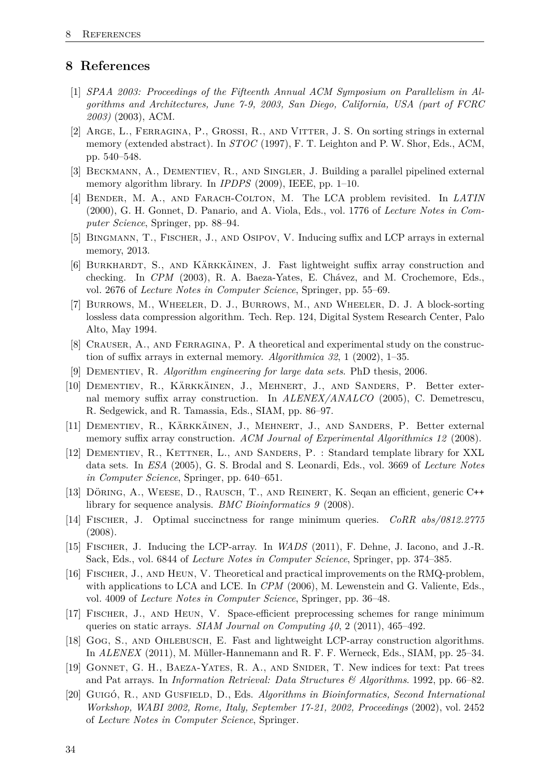# <span id="page-33-0"></span>**8 References**

- <span id="page-33-14"></span>[1] *SPAA 2003: Proceedings of the Fifteenth Annual ACM Symposium on Parallelism in Algorithms and Architectures, June 7-9, 2003, San Diego, California, USA (part of FCRC 2003)* (2003), ACM.
- <span id="page-33-5"></span>[2] Arge, L., Ferragina, P., Grossi, R., and Vitter, J. S. On sorting strings in external memory (extended abstract). In *STOC* (1997), F. T. Leighton and P. W. Shor, Eds., ACM, pp. 540–548.
- <span id="page-33-19"></span>[3] Beckmann, A., Dementiev, R., and Singler, J. Building a parallel pipelined external memory algorithm library. In *IPDPS* (2009), IEEE, pp. 1–10.
- <span id="page-33-16"></span>[4] Bender, M. A., and Farach-Colton, M. The LCA problem revisited. In *LATIN* (2000), G. H. Gonnet, D. Panario, and A. Viola, Eds., vol. 1776 of *Lecture Notes in Computer Science*, Springer, pp. 88–94.
- <span id="page-33-8"></span>[5] Bingmann, T., Fischer, J., and Osipov, V. Inducing suffix and LCP arrays in external memory, 2013.
- <span id="page-33-6"></span>[6] BURKHARDT, S., AND KÄRKKÄINEN, J. Fast lightweight suffix array construction and checking. In *CPM* (2003), R. A. Baeza-Yates, E. Chávez, and M. Crochemore, Eds., vol. 2676 of *Lecture Notes in Computer Science*, Springer, pp. 55–69.
- <span id="page-33-2"></span>[7] Burrows, M., Wheeler, D. J., Burrows, M., and Wheeler, D. J. A block-sorting lossless data compression algorithm. Tech. Rep. 124, Digital System Research Center, Palo Alto, May 1994.
- <span id="page-33-4"></span>[8] Crauser, A., and Ferragina, P. A theoretical and experimental study on the construction of suffix arrays in external memory. *Algorithmica 32*, 1 (2002), 1–35.
- <span id="page-33-12"></span>[9] Dementiev, R. *Algorithm engineering for large data sets*. PhD thesis, 2006.
- <span id="page-33-18"></span>[10] Dementiev, R., Kärkkäinen, J., Mehnert, J., and Sanders, P. Better external memory suffix array construction. In *ALENEX/ANALCO* (2005), C. Demetrescu, R. Sedgewick, and R. Tamassia, Eds., SIAM, pp. 86–97.
- <span id="page-33-20"></span>[11] Dementiev, R., Kärkkäinen, J., Mehnert, J., and Sanders, P. Better external memory suffix array construction. *ACM Journal of Experimental Algorithmics 12* (2008).
- <span id="page-33-13"></span>[12] Dementiev, R., Kettner, L., and Sanders, P. : Standard template library for XXL data sets. In *ESA* (2005), G. S. Brodal and S. Leonardi, Eds., vol. 3669 of *Lecture Notes in Computer Science*, Springer, pp. 640–651.
- <span id="page-33-7"></span>[13] Döring, A., Weese, D., Rausch, T., and Reinert, K. Seqan an efficient, generic C++ library for sequence analysis. *BMC Bioinformatics 9* (2008).
- <span id="page-33-15"></span>[14] Fischer, J. Optimal succinctness for range minimum queries. *CoRR abs/0812.2775* (2008).
- <span id="page-33-9"></span>[15] Fischer, J. Inducing the LCP-array. In *WADS* (2011), F. Dehne, J. Iacono, and J.-R. Sack, Eds., vol. 6844 of *Lecture Notes in Computer Science*, Springer, pp. 374–385.
- <span id="page-33-10"></span>[16] Fischer, J., and Heun, V. Theoretical and practical improvements on the RMQ-problem, with applications to LCA and LCE. In *CPM* (2006), M. Lewenstein and G. Valiente, Eds., vol. 4009 of *Lecture Notes in Computer Science*, Springer, pp. 36–48.
- <span id="page-33-11"></span>[17] FISCHER, J., AND HEUN, V. Space-efficient preprocessing schemes for range minimum queries on static arrays. *SIAM Journal on Computing 40*, 2 (2011), 465–492.
- <span id="page-33-17"></span>[18] Gog, S., and Ohlebusch, E. Fast and lightweight LCP-array construction algorithms. In *ALENEX* (2011), M. Müller-Hannemann and R. F. F. Werneck, Eds., SIAM, pp. 25–34.
- <span id="page-33-1"></span>[19] Gonnet, G. H., Baeza-Yates, R. A., and Snider, T. New indices for text: Pat trees and Pat arrays. In *Information Retrieval: Data Structures & Algorithms*. 1992, pp. 66–82.
- <span id="page-33-3"></span>[20] Guigó, R., and Gusfield, D., Eds. *Algorithms in Bioinformatics, Second International Workshop, WABI 2002, Rome, Italy, September 17-21, 2002, Proceedings* (2002), vol. 2452 of *Lecture Notes in Computer Science*, Springer.